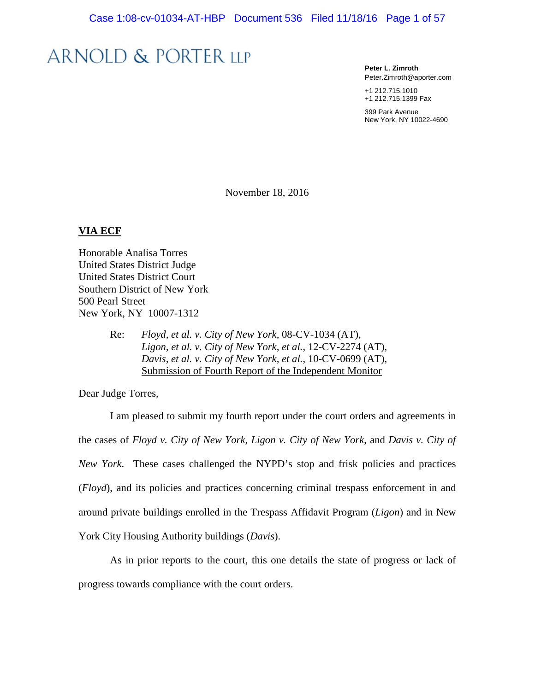# **ARNOLD & PORTER LLP**

**Peter L. Zimroth** Peter.Zimroth@aporter.com

+1 212.715.1010 +1 212.715.1399 Fax

399 Park Avenue New York, NY 10022-4690

November 18, 2016

#### **VIA ECF**

Honorable Analisa Torres United States District Judge United States District Court Southern District of New York 500 Pearl Street New York, NY 10007-1312

> Re: *Floyd, et al. v. City of New York*, 08-CV-1034 (AT), *Ligon, et al. v. City of New York, et al.*, 12-CV-2274 (AT), *Davis, et al. v. City of New York, et al.*, 10-CV-0699 (AT), Submission of Fourth Report of the Independent Monitor

Dear Judge Torres,

I am pleased to submit my fourth report under the court orders and agreements in the cases of *Floyd v. City of New York*, *Ligon v. City of New York*, and *Davis v. City of New York*. These cases challenged the NYPD's stop and frisk policies and practices (*Floyd*), and its policies and practices concerning criminal trespass enforcement in and around private buildings enrolled in the Trespass Affidavit Program (*Ligon*) and in New York City Housing Authority buildings (*Davis*).

As in prior reports to the court, this one details the state of progress or lack of progress towards compliance with the court orders.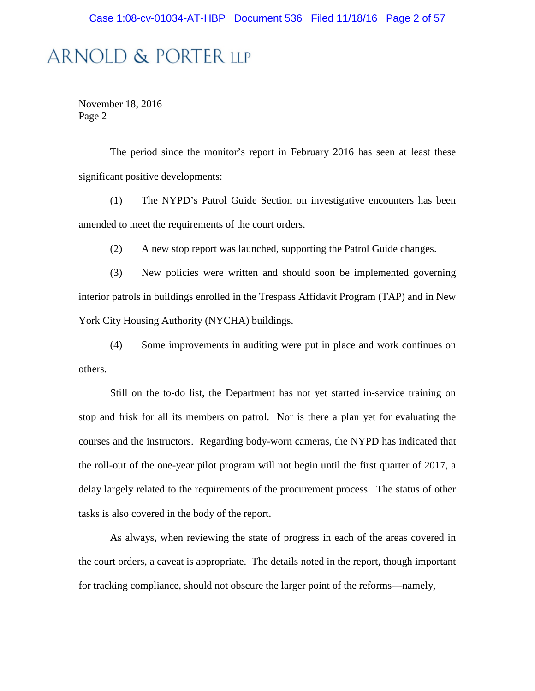# **ARNOLD & PORTER LLP**

November 18, 2016 Page 2

The period since the monitor's report in February 2016 has seen at least these significant positive developments:

(1) The NYPD's Patrol Guide Section on investigative encounters has been amended to meet the requirements of the court orders.

(2) A new stop report was launched, supporting the Patrol Guide changes.

(3) New policies were written and should soon be implemented governing interior patrols in buildings enrolled in the Trespass Affidavit Program (TAP) and in New York City Housing Authority (NYCHA) buildings.

(4) Some improvements in auditing were put in place and work continues on others.

Still on the to-do list, the Department has not yet started in-service training on stop and frisk for all its members on patrol. Nor is there a plan yet for evaluating the courses and the instructors. Regarding body-worn cameras, the NYPD has indicated that the roll-out of the one-year pilot program will not begin until the first quarter of 2017, a delay largely related to the requirements of the procurement process. The status of other tasks is also covered in the body of the report.

As always, when reviewing the state of progress in each of the areas covered in the court orders, a caveat is appropriate. The details noted in the report, though important for tracking compliance, should not obscure the larger point of the reforms—namely,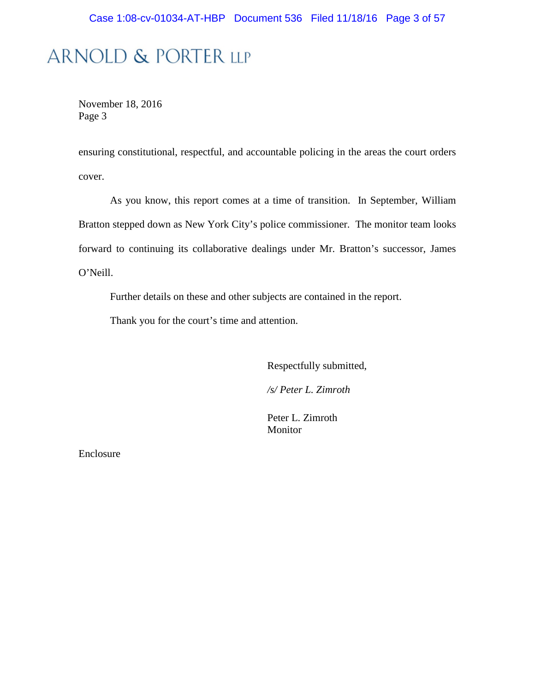# ARNOLD & PORTER LLP

November 18, 2016 Page 3

ensuring constitutional, respectful, and accountable policing in the areas the court orders cover.

As you know, this report comes at a time of transition. In September, William Bratton stepped down as New York City's police commissioner. The monitor team looks forward to continuing its collaborative dealings under Mr. Bratton's successor, James O'Neill.

Further details on these and other subjects are contained in the report.

Thank you for the court's time and attention.

Respectfully submitted,

*/s/ Peter L. Zimroth*

Peter L. Zimroth Monitor

Enclosure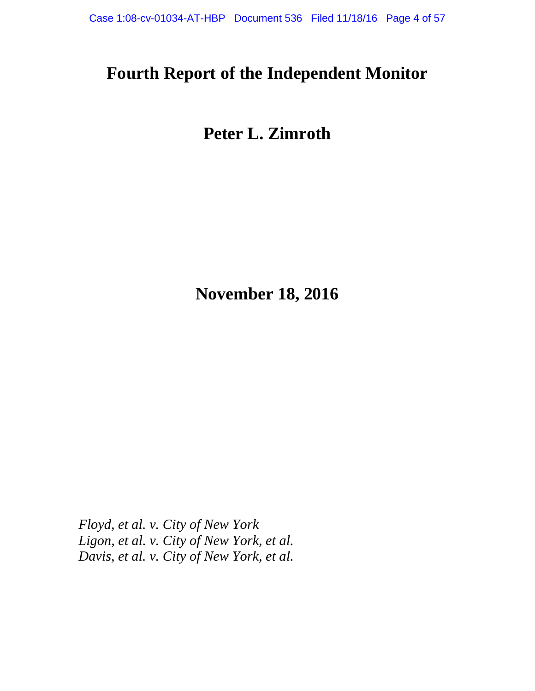# **Fourth Report of the Independent Monitor**

# **Peter L. Zimroth**

**November 18, 2016**

*Floyd, et al. v. City of New York Ligon, et al. v. City of New York, et al. Davis, et al. v. City of New York, et al.*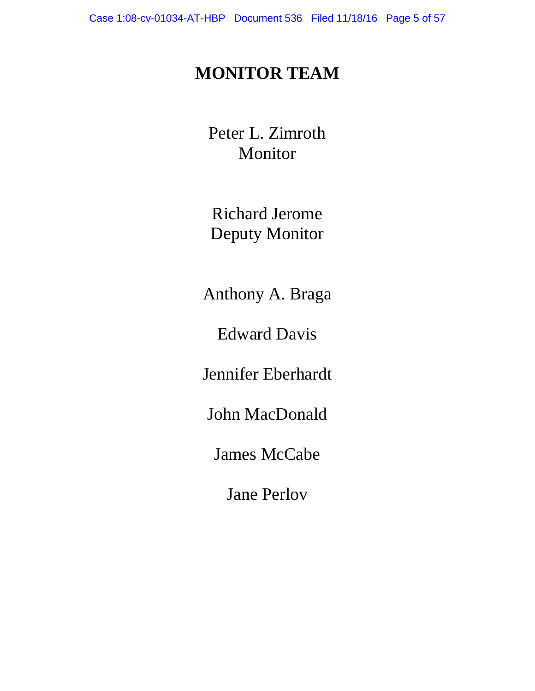# **MONITOR TEAM**

Peter L. Zimroth Monitor

Richard Jerome Deputy Monitor

Anthony A. Braga

Edward Davis

Jennifer Eberhardt

John MacDonald

James McCabe

Jane Perlov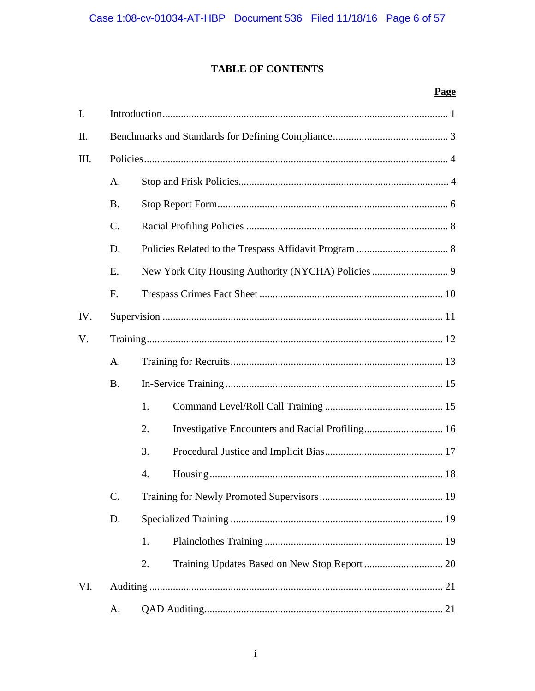### TABLE OF CONTENTS

### Page

| $\mathbf{I}$ . |               |    |
|----------------|---------------|----|
| П.             |               |    |
| III.           |               |    |
|                | A.            |    |
|                | <b>B.</b>     |    |
|                | $C$ .         |    |
|                | D.            |    |
|                | Ε.            |    |
|                | F.            |    |
| IV.            |               |    |
| V.             |               |    |
|                | A.            |    |
|                | <b>B.</b>     |    |
|                |               | 1. |
|                |               | 2. |
|                |               | 3. |
|                |               | 4. |
|                | $\mathsf{C}.$ |    |
|                | D.            |    |
|                |               | 1. |
|                |               | 2. |
| VI.            |               |    |
|                | A.            |    |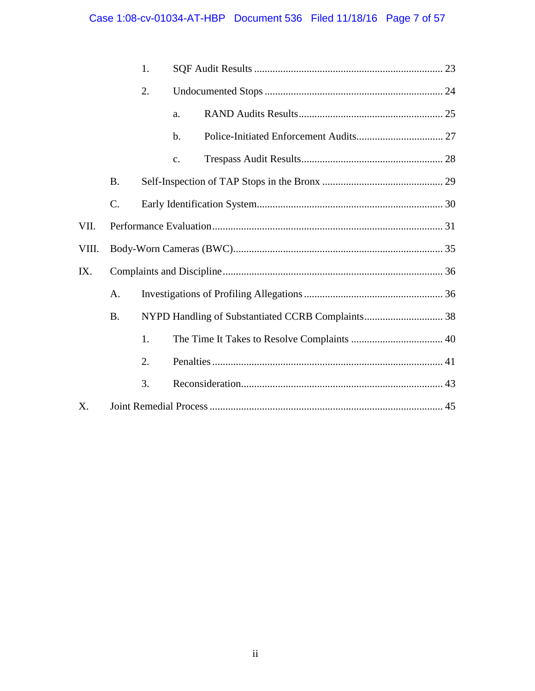## Case 1:08-cv-01034-AT-HBP Document 536 Filed 11/18/16 Page 7 of 57

|       |                 | 1. |                |  |
|-------|-----------------|----|----------------|--|
|       |                 | 2. |                |  |
|       |                 |    | a.             |  |
|       |                 |    | $b$ .          |  |
|       |                 |    | $\mathbf{c}$ . |  |
|       | <b>B.</b>       |    |                |  |
|       | $\mathcal{C}$ . |    |                |  |
| VII.  |                 |    |                |  |
| VIII. |                 |    |                |  |
| IX.   |                 |    |                |  |
|       | A.              |    |                |  |
|       | <b>B.</b>       |    |                |  |
|       |                 | 1. |                |  |
|       |                 | 2. |                |  |
|       |                 | 3. |                |  |
| X.    |                 |    |                |  |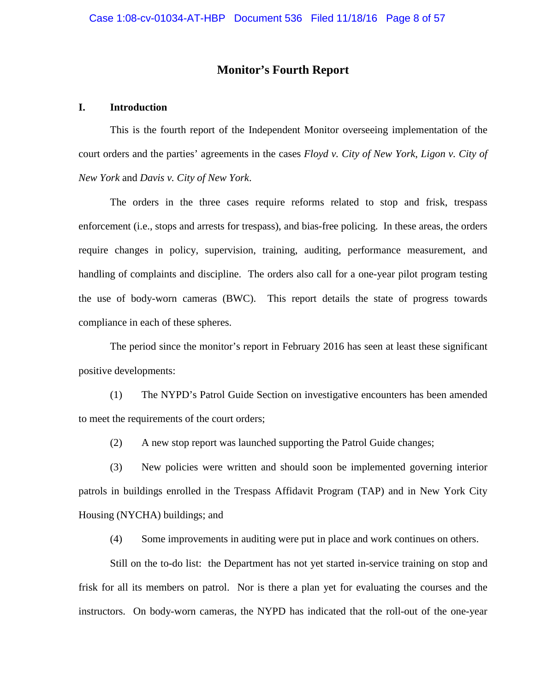### **Monitor's Fourth Report**

#### **I. Introduction**

This is the fourth report of the Independent Monitor overseeing implementation of the court orders and the parties' agreements in the cases *Floyd v. City of New York*, *Ligon v. City of New York* and *Davis v. City of New York*.

The orders in the three cases require reforms related to stop and frisk, trespass enforcement (i.e., stops and arrests for trespass), and bias-free policing. In these areas, the orders require changes in policy, supervision, training, auditing, performance measurement, and handling of complaints and discipline. The orders also call for a one-year pilot program testing the use of body-worn cameras (BWC). This report details the state of progress towards compliance in each of these spheres.

The period since the monitor's report in February 2016 has seen at least these significant positive developments:

(1) The NYPD's Patrol Guide Section on investigative encounters has been amended to meet the requirements of the court orders;

(2) A new stop report was launched supporting the Patrol Guide changes;

(3) New policies were written and should soon be implemented governing interior patrols in buildings enrolled in the Trespass Affidavit Program (TAP) and in New York City Housing (NYCHA) buildings; and

(4) Some improvements in auditing were put in place and work continues on others.

Still on the to-do list: the Department has not yet started in-service training on stop and frisk for all its members on patrol. Nor is there a plan yet for evaluating the courses and the instructors. On body-worn cameras, the NYPD has indicated that the roll-out of the one-year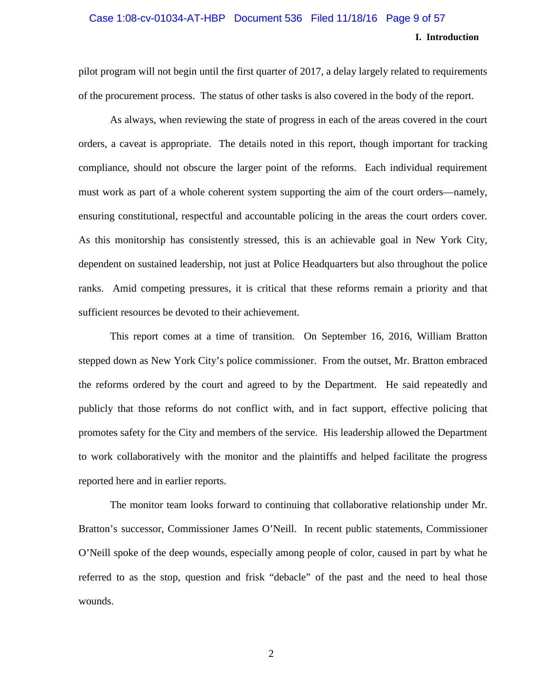### **I. Introduction** Case 1:08-cv-01034-AT-HBP Document 536 Filed 11/18/16 Page 9 of 57

pilot program will not begin until the first quarter of 2017, a delay largely related to requirements of the procurement process. The status of other tasks is also covered in the body of the report.

As always, when reviewing the state of progress in each of the areas covered in the court orders, a caveat is appropriate. The details noted in this report, though important for tracking compliance, should not obscure the larger point of the reforms. Each individual requirement must work as part of a whole coherent system supporting the aim of the court orders—namely, ensuring constitutional, respectful and accountable policing in the areas the court orders cover. As this monitorship has consistently stressed, this is an achievable goal in New York City, dependent on sustained leadership, not just at Police Headquarters but also throughout the police ranks. Amid competing pressures, it is critical that these reforms remain a priority and that sufficient resources be devoted to their achievement.

This report comes at a time of transition. On September 16, 2016, William Bratton stepped down as New York City's police commissioner. From the outset, Mr. Bratton embraced the reforms ordered by the court and agreed to by the Department. He said repeatedly and publicly that those reforms do not conflict with, and in fact support, effective policing that promotes safety for the City and members of the service. His leadership allowed the Department to work collaboratively with the monitor and the plaintiffs and helped facilitate the progress reported here and in earlier reports.

The monitor team looks forward to continuing that collaborative relationship under Mr. Bratton's successor, Commissioner James O'Neill. In recent public statements, Commissioner O'Neill spoke of the deep wounds, especially among people of color, caused in part by what he referred to as the stop, question and frisk "debacle" of the past and the need to heal those wounds.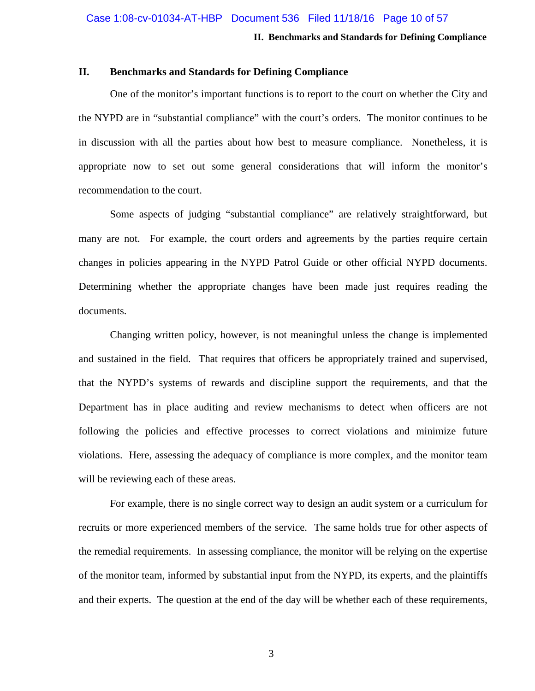#### **II. Benchmarks and Standards for Defining Compliance**

#### **II. Benchmarks and Standards for Defining Compliance**

One of the monitor's important functions is to report to the court on whether the City and the NYPD are in "substantial compliance" with the court's orders. The monitor continues to be in discussion with all the parties about how best to measure compliance. Nonetheless, it is appropriate now to set out some general considerations that will inform the monitor's recommendation to the court.

Some aspects of judging "substantial compliance" are relatively straightforward, but many are not. For example, the court orders and agreements by the parties require certain changes in policies appearing in the NYPD Patrol Guide or other official NYPD documents. Determining whether the appropriate changes have been made just requires reading the documents.

Changing written policy, however, is not meaningful unless the change is implemented and sustained in the field. That requires that officers be appropriately trained and supervised, that the NYPD's systems of rewards and discipline support the requirements, and that the Department has in place auditing and review mechanisms to detect when officers are not following the policies and effective processes to correct violations and minimize future violations. Here, assessing the adequacy of compliance is more complex, and the monitor team will be reviewing each of these areas.

For example, there is no single correct way to design an audit system or a curriculum for recruits or more experienced members of the service. The same holds true for other aspects of the remedial requirements. In assessing compliance, the monitor will be relying on the expertise of the monitor team, informed by substantial input from the NYPD, its experts, and the plaintiffs and their experts. The question at the end of the day will be whether each of these requirements,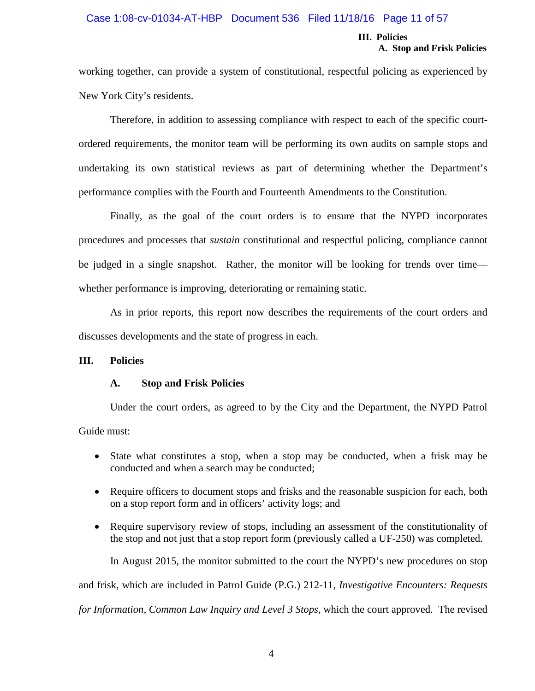#### Case 1:08-cv-01034-AT-HBP Document 536 Filed 11/18/16 Page 11 of 57

#### **III. Policies A. Stop and Frisk Policies**

working together, can provide a system of constitutional, respectful policing as experienced by New York City's residents.

Therefore, in addition to assessing compliance with respect to each of the specific courtordered requirements, the monitor team will be performing its own audits on sample stops and undertaking its own statistical reviews as part of determining whether the Department's performance complies with the Fourth and Fourteenth Amendments to the Constitution.

Finally, as the goal of the court orders is to ensure that the NYPD incorporates procedures and processes that *sustain* constitutional and respectful policing, compliance cannot be judged in a single snapshot. Rather, the monitor will be looking for trends over time whether performance is improving, deteriorating or remaining static.

As in prior reports, this report now describes the requirements of the court orders and discusses developments and the state of progress in each.

#### **III. Policies**

#### **A. Stop and Frisk Policies**

Under the court orders, as agreed to by the City and the Department, the NYPD Patrol Guide must:

- State what constitutes a stop, when a stop may be conducted, when a frisk may be conducted and when a search may be conducted;
- Require officers to document stops and frisks and the reasonable suspicion for each, both on a stop report form and in officers' activity logs; and
- Require supervisory review of stops, including an assessment of the constitutionality of the stop and not just that a stop report form (previously called a UF-250) was completed.

In August 2015, the monitor submitted to the court the NYPD's new procedures on stop and frisk, which are included in Patrol Guide (P.G.) 212-11, *Investigative Encounters: Requests for Information, Common Law Inquiry and Level 3 Stops*, which the court approved. The revised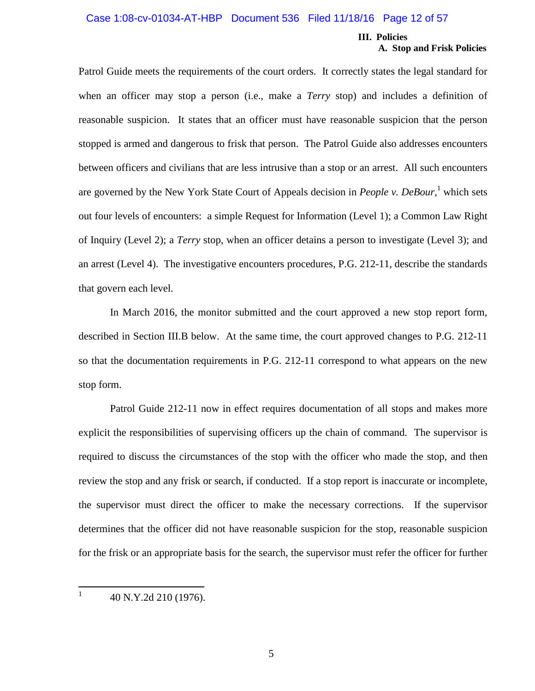#### Case 1:08-cv-01034-AT-HBP Document 536 Filed 11/18/16 Page 12 of 57

#### **III. Policies A. Stop and Frisk Policies**

Patrol Guide meets the requirements of the court orders. It correctly states the legal standard for when an officer may stop a person (i.e., make a *Terry* stop) and includes a definition of reasonable suspicion. It states that an officer must have reasonable suspicion that the person stopped is armed and dangerous to frisk that person. The Patrol Guide also addresses encounters between officers and civilians that are less intrusive than a stop or an arrest. All such encounters are governed by the New York State Court of Appeals decision in *People v. DeBour*, <sup>1</sup> which sets out four levels of encounters: a simple Request for Information (Level 1); a Common Law Right of Inquiry (Level 2); a *Terry* stop, when an officer detains a person to investigate (Level 3); and an arrest (Level 4). The investigative encounters procedures, P.G. 212-11, describe the standards that govern each level.

In March 2016, the monitor submitted and the court approved a new stop report form, described in Section III.B below. At the same time, the court approved changes to P.G. 212-11 so that the documentation requirements in P.G. 212-11 correspond to what appears on the new stop form.

Patrol Guide 212-11 now in effect requires documentation of all stops and makes more explicit the responsibilities of supervising officers up the chain of command. The supervisor is required to discuss the circumstances of the stop with the officer who made the stop, and then review the stop and any frisk or search, if conducted. If a stop report is inaccurate or incomplete, the supervisor must direct the officer to make the necessary corrections. If the supervisor determines that the officer did not have reasonable suspicion for the stop, reasonable suspicion for the frisk or an appropriate basis for the search, the supervisor must refer the officer for further

1 40 N.Y.2d 210 (1976).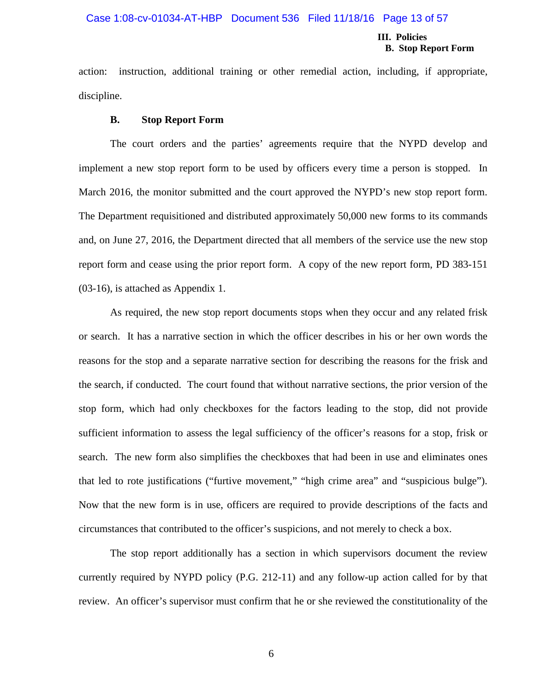#### Case 1:08-cv-01034-AT-HBP Document 536 Filed 11/18/16 Page 13 of 57

#### **III. Policies B. Stop Report Form**

action: instruction, additional training or other remedial action, including, if appropriate, discipline.

#### **B. Stop Report Form**

The court orders and the parties' agreements require that the NYPD develop and implement a new stop report form to be used by officers every time a person is stopped. In March 2016, the monitor submitted and the court approved the NYPD's new stop report form. The Department requisitioned and distributed approximately 50,000 new forms to its commands and, on June 27, 2016, the Department directed that all members of the service use the new stop report form and cease using the prior report form. A copy of the new report form, PD 383-151 (03-16), is attached as Appendix 1.

As required, the new stop report documents stops when they occur and any related frisk or search. It has a narrative section in which the officer describes in his or her own words the reasons for the stop and a separate narrative section for describing the reasons for the frisk and the search, if conducted. The court found that without narrative sections, the prior version of the stop form, which had only checkboxes for the factors leading to the stop, did not provide sufficient information to assess the legal sufficiency of the officer's reasons for a stop, frisk or search. The new form also simplifies the checkboxes that had been in use and eliminates ones that led to rote justifications ("furtive movement," "high crime area" and "suspicious bulge"). Now that the new form is in use, officers are required to provide descriptions of the facts and circumstances that contributed to the officer's suspicions, and not merely to check a box.

The stop report additionally has a section in which supervisors document the review currently required by NYPD policy (P.G. 212-11) and any follow-up action called for by that review. An officer's supervisor must confirm that he or she reviewed the constitutionality of the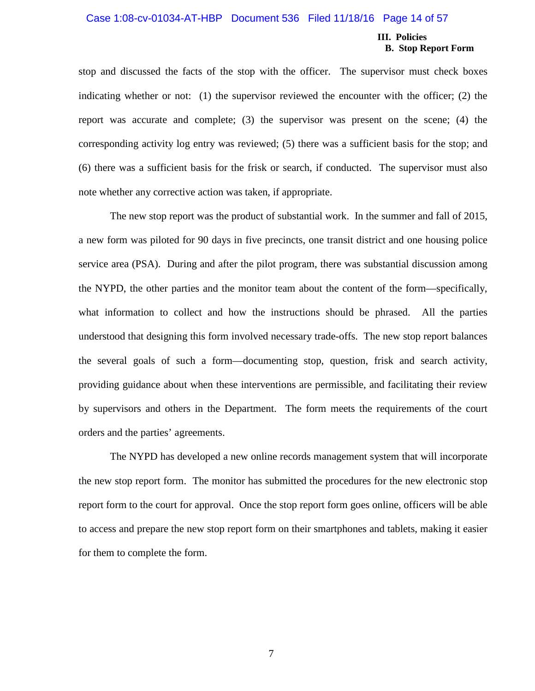#### Case 1:08-cv-01034-AT-HBP Document 536 Filed 11/18/16 Page 14 of 57

#### **III. Policies B. Stop Report Form**

stop and discussed the facts of the stop with the officer. The supervisor must check boxes indicating whether or not: (1) the supervisor reviewed the encounter with the officer; (2) the report was accurate and complete; (3) the supervisor was present on the scene; (4) the corresponding activity log entry was reviewed; (5) there was a sufficient basis for the stop; and (6) there was a sufficient basis for the frisk or search, if conducted. The supervisor must also note whether any corrective action was taken, if appropriate.

The new stop report was the product of substantial work. In the summer and fall of 2015, a new form was piloted for 90 days in five precincts, one transit district and one housing police service area (PSA). During and after the pilot program, there was substantial discussion among the NYPD, the other parties and the monitor team about the content of the form—specifically, what information to collect and how the instructions should be phrased. All the parties understood that designing this form involved necessary trade-offs. The new stop report balances the several goals of such a form—documenting stop, question, frisk and search activity, providing guidance about when these interventions are permissible, and facilitating their review by supervisors and others in the Department. The form meets the requirements of the court orders and the parties' agreements.

The NYPD has developed a new online records management system that will incorporate the new stop report form. The monitor has submitted the procedures for the new electronic stop report form to the court for approval. Once the stop report form goes online, officers will be able to access and prepare the new stop report form on their smartphones and tablets, making it easier for them to complete the form.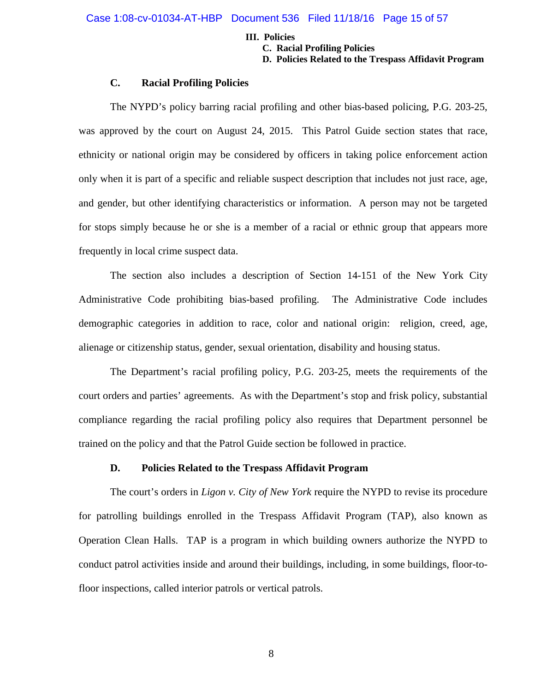#### **III. Policies**

**C. Racial Profiling Policies**

**D. Policies Related to the Trespass Affidavit Program**

#### **C. Racial Profiling Policies**

The NYPD's policy barring racial profiling and other bias-based policing, P.G. 203-25, was approved by the court on August 24, 2015. This Patrol Guide section states that race, ethnicity or national origin may be considered by officers in taking police enforcement action only when it is part of a specific and reliable suspect description that includes not just race, age, and gender, but other identifying characteristics or information. A person may not be targeted for stops simply because he or she is a member of a racial or ethnic group that appears more frequently in local crime suspect data.

The section also includes a description of Section 14-151 of the New York City Administrative Code prohibiting bias-based profiling. The Administrative Code includes demographic categories in addition to race, color and national origin: religion, creed, age, alienage or citizenship status, gender, sexual orientation, disability and housing status.

The Department's racial profiling policy, P.G. 203-25, meets the requirements of the court orders and parties' agreements. As with the Department's stop and frisk policy, substantial compliance regarding the racial profiling policy also requires that Department personnel be trained on the policy and that the Patrol Guide section be followed in practice.

#### **D. Policies Related to the Trespass Affidavit Program**

The court's orders in *Ligon v. City of New York* require the NYPD to revise its procedure for patrolling buildings enrolled in the Trespass Affidavit Program (TAP), also known as Operation Clean Halls. TAP is a program in which building owners authorize the NYPD to conduct patrol activities inside and around their buildings, including, in some buildings, floor-tofloor inspections, called interior patrols or vertical patrols.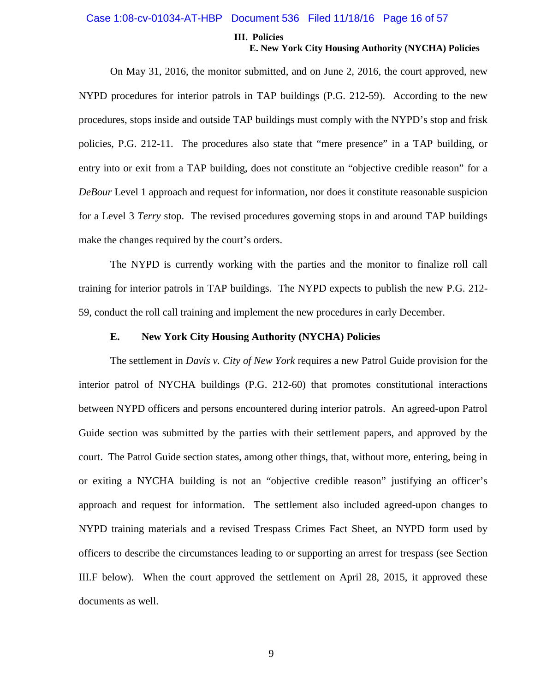#### Case 1:08-cv-01034-AT-HBP Document 536 Filed 11/18/16 Page 16 of 57

#### **III. Policies E. New York City Housing Authority (NYCHA) Policies**

On May 31, 2016, the monitor submitted, and on June 2, 2016, the court approved, new NYPD procedures for interior patrols in TAP buildings (P.G. 212-59). According to the new procedures, stops inside and outside TAP buildings must comply with the NYPD's stop and frisk policies, P.G. 212-11. The procedures also state that "mere presence" in a TAP building, or entry into or exit from a TAP building, does not constitute an "objective credible reason" for a *DeBour* Level 1 approach and request for information, nor does it constitute reasonable suspicion for a Level 3 *Terry* stop. The revised procedures governing stops in and around TAP buildings make the changes required by the court's orders.

The NYPD is currently working with the parties and the monitor to finalize roll call training for interior patrols in TAP buildings. The NYPD expects to publish the new P.G. 212- 59, conduct the roll call training and implement the new procedures in early December.

#### **E. New York City Housing Authority (NYCHA) Policies**

The settlement in *Davis v. City of New York* requires a new Patrol Guide provision for the interior patrol of NYCHA buildings (P.G. 212-60) that promotes constitutional interactions between NYPD officers and persons encountered during interior patrols. An agreed-upon Patrol Guide section was submitted by the parties with their settlement papers, and approved by the court. The Patrol Guide section states, among other things, that, without more, entering, being in or exiting a NYCHA building is not an "objective credible reason" justifying an officer's approach and request for information. The settlement also included agreed-upon changes to NYPD training materials and a revised Trespass Crimes Fact Sheet, an NYPD form used by officers to describe the circumstances leading to or supporting an arrest for trespass (see Section III.F below). When the court approved the settlement on April 28, 2015, it approved these documents as well.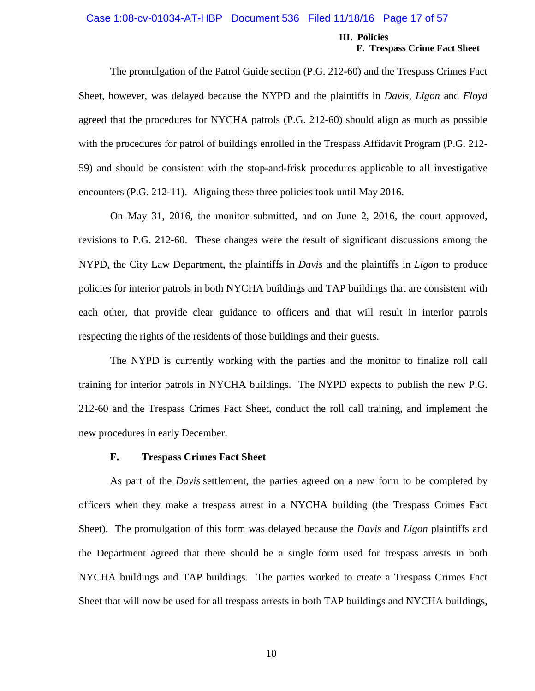#### Case 1:08-cv-01034-AT-HBP Document 536 Filed 11/18/16 Page 17 of 57

#### **III. Policies F. Trespass Crime Fact Sheet**

The promulgation of the Patrol Guide section (P.G. 212-60) and the Trespass Crimes Fact Sheet, however, was delayed because the NYPD and the plaintiffs in *Davis, Ligon* and *Floyd* agreed that the procedures for NYCHA patrols (P.G. 212-60) should align as much as possible with the procedures for patrol of buildings enrolled in the Trespass Affidavit Program (P.G. 212- 59) and should be consistent with the stop-and-frisk procedures applicable to all investigative encounters (P.G. 212-11). Aligning these three policies took until May 2016.

On May 31, 2016, the monitor submitted, and on June 2, 2016, the court approved, revisions to P.G. 212-60. These changes were the result of significant discussions among the NYPD, the City Law Department, the plaintiffs in *Davis* and the plaintiffs in *Ligon* to produce policies for interior patrols in both NYCHA buildings and TAP buildings that are consistent with each other, that provide clear guidance to officers and that will result in interior patrols respecting the rights of the residents of those buildings and their guests.

The NYPD is currently working with the parties and the monitor to finalize roll call training for interior patrols in NYCHA buildings. The NYPD expects to publish the new P.G. 212-60 and the Trespass Crimes Fact Sheet, conduct the roll call training, and implement the new procedures in early December.

#### **F. Trespass Crimes Fact Sheet**

As part of the *Davis* settlement, the parties agreed on a new form to be completed by officers when they make a trespass arrest in a NYCHA building (the Trespass Crimes Fact Sheet). The promulgation of this form was delayed because the *Davis* and *Ligon* plaintiffs and the Department agreed that there should be a single form used for trespass arrests in both NYCHA buildings and TAP buildings. The parties worked to create a Trespass Crimes Fact Sheet that will now be used for all trespass arrests in both TAP buildings and NYCHA buildings,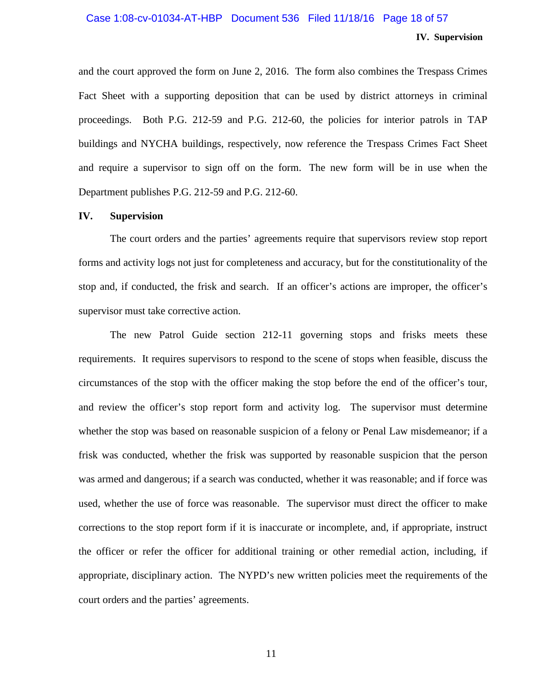### **IV. Supervision** Case 1:08-cv-01034-AT-HBP Document 536 Filed 11/18/16 Page 18 of 57

and the court approved the form on June 2, 2016. The form also combines the Trespass Crimes Fact Sheet with a supporting deposition that can be used by district attorneys in criminal proceedings. Both P.G. 212-59 and P.G. 212-60, the policies for interior patrols in TAP buildings and NYCHA buildings, respectively, now reference the Trespass Crimes Fact Sheet and require a supervisor to sign off on the form. The new form will be in use when the Department publishes P.G. 212-59 and P.G. 212-60.

#### **IV. Supervision**

The court orders and the parties' agreements require that supervisors review stop report forms and activity logs not just for completeness and accuracy, but for the constitutionality of the stop and, if conducted, the frisk and search. If an officer's actions are improper, the officer's supervisor must take corrective action.

The new Patrol Guide section 212-11 governing stops and frisks meets these requirements. It requires supervisors to respond to the scene of stops when feasible, discuss the circumstances of the stop with the officer making the stop before the end of the officer's tour, and review the officer's stop report form and activity log. The supervisor must determine whether the stop was based on reasonable suspicion of a felony or Penal Law misdemeanor; if a frisk was conducted, whether the frisk was supported by reasonable suspicion that the person was armed and dangerous; if a search was conducted, whether it was reasonable; and if force was used, whether the use of force was reasonable. The supervisor must direct the officer to make corrections to the stop report form if it is inaccurate or incomplete, and, if appropriate, instruct the officer or refer the officer for additional training or other remedial action, including, if appropriate, disciplinary action. The NYPD's new written policies meet the requirements of the court orders and the parties' agreements.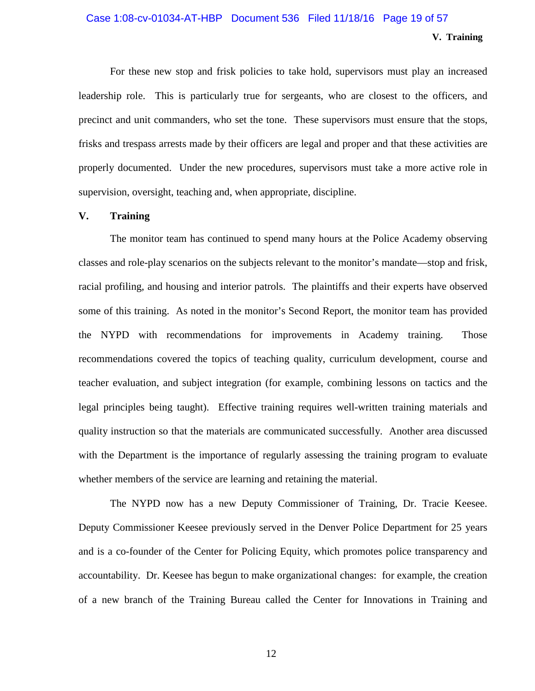#### Case 1:08-cv-01034-AT-HBP Document 536 Filed 11/18/16 Page 19 of 57

#### **V. Training**

For these new stop and frisk policies to take hold, supervisors must play an increased leadership role. This is particularly true for sergeants, who are closest to the officers, and precinct and unit commanders, who set the tone. These supervisors must ensure that the stops, frisks and trespass arrests made by their officers are legal and proper and that these activities are properly documented. Under the new procedures, supervisors must take a more active role in supervision, oversight, teaching and, when appropriate, discipline.

#### **V. Training**

The monitor team has continued to spend many hours at the Police Academy observing classes and role-play scenarios on the subjects relevant to the monitor's mandate—stop and frisk, racial profiling, and housing and interior patrols. The plaintiffs and their experts have observed some of this training. As noted in the monitor's Second Report, the monitor team has provided the NYPD with recommendations for improvements in Academy training. Those recommendations covered the topics of teaching quality, curriculum development, course and teacher evaluation, and subject integration (for example, combining lessons on tactics and the legal principles being taught). Effective training requires well-written training materials and quality instruction so that the materials are communicated successfully. Another area discussed with the Department is the importance of regularly assessing the training program to evaluate whether members of the service are learning and retaining the material.

The NYPD now has a new Deputy Commissioner of Training, Dr. Tracie Keesee. Deputy Commissioner Keesee previously served in the Denver Police Department for 25 years and is a co-founder of the Center for Policing Equity, which promotes police transparency and accountability. Dr. Keesee has begun to make organizational changes: for example, the creation of a new branch of the Training Bureau called the Center for Innovations in Training and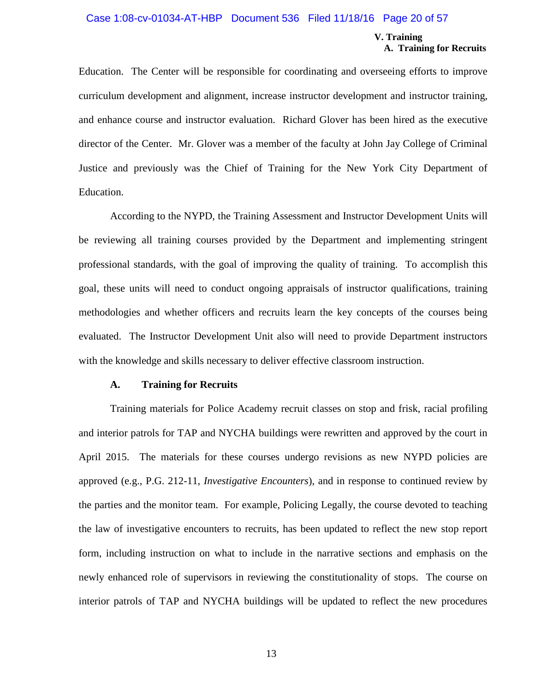#### Case 1:08-cv-01034-AT-HBP Document 536 Filed 11/18/16 Page 20 of 57

#### **V. Training A. Training for Recruits**

Education. The Center will be responsible for coordinating and overseeing efforts to improve curriculum development and alignment, increase instructor development and instructor training, and enhance course and instructor evaluation. Richard Glover has been hired as the executive director of the Center. Mr. Glover was a member of the faculty at John Jay College of Criminal Justice and previously was the Chief of Training for the New York City Department of Education.

According to the NYPD, the Training Assessment and Instructor Development Units will be reviewing all training courses provided by the Department and implementing stringent professional standards, with the goal of improving the quality of training. To accomplish this goal, these units will need to conduct ongoing appraisals of instructor qualifications, training methodologies and whether officers and recruits learn the key concepts of the courses being evaluated. The Instructor Development Unit also will need to provide Department instructors with the knowledge and skills necessary to deliver effective classroom instruction.

#### **A. Training for Recruits**

Training materials for Police Academy recruit classes on stop and frisk, racial profiling and interior patrols for TAP and NYCHA buildings were rewritten and approved by the court in April 2015. The materials for these courses undergo revisions as new NYPD policies are approved (e.g., P.G. 212-11, *Investigative Encounters*), and in response to continued review by the parties and the monitor team. For example, Policing Legally, the course devoted to teaching the law of investigative encounters to recruits, has been updated to reflect the new stop report form, including instruction on what to include in the narrative sections and emphasis on the newly enhanced role of supervisors in reviewing the constitutionality of stops. The course on interior patrols of TAP and NYCHA buildings will be updated to reflect the new procedures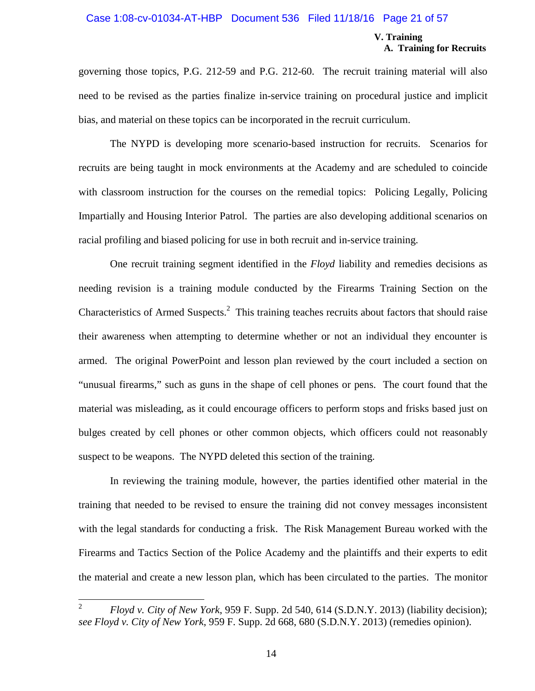#### Case 1:08-cv-01034-AT-HBP Document 536 Filed 11/18/16 Page 21 of 57

#### **V. Training A. Training for Recruits**

governing those topics, P.G. 212-59 and P.G. 212-60. The recruit training material will also need to be revised as the parties finalize in-service training on procedural justice and implicit bias, and material on these topics can be incorporated in the recruit curriculum.

The NYPD is developing more scenario-based instruction for recruits. Scenarios for recruits are being taught in mock environments at the Academy and are scheduled to coincide with classroom instruction for the courses on the remedial topics: Policing Legally, Policing Impartially and Housing Interior Patrol. The parties are also developing additional scenarios on racial profiling and biased policing for use in both recruit and in-service training.

One recruit training segment identified in the *Floyd* liability and remedies decisions as needing revision is a training module conducted by the Firearms Training Section on the Characteristics of Armed Suspects. $<sup>2</sup>$  This training teaches recruits about factors that should raise</sup> their awareness when attempting to determine whether or not an individual they encounter is armed. The original PowerPoint and lesson plan reviewed by the court included a section on "unusual firearms," such as guns in the shape of cell phones or pens. The court found that the material was misleading, as it could encourage officers to perform stops and frisks based just on bulges created by cell phones or other common objects, which officers could not reasonably suspect to be weapons. The NYPD deleted this section of the training.

In reviewing the training module, however, the parties identified other material in the training that needed to be revised to ensure the training did not convey messages inconsistent with the legal standards for conducting a frisk. The Risk Management Bureau worked with the Firearms and Tactics Section of the Police Academy and the plaintiffs and their experts to edit the material and create a new lesson plan, which has been circulated to the parties. The monitor

<sup>2</sup> *Floyd v. City of New York*, 959 F. Supp. 2d 540, 614 (S.D.N.Y. 2013) (liability decision); *see Floyd v. City of New York*, 959 F. Supp. 2d 668, 680 (S.D.N.Y. 2013) (remedies opinion).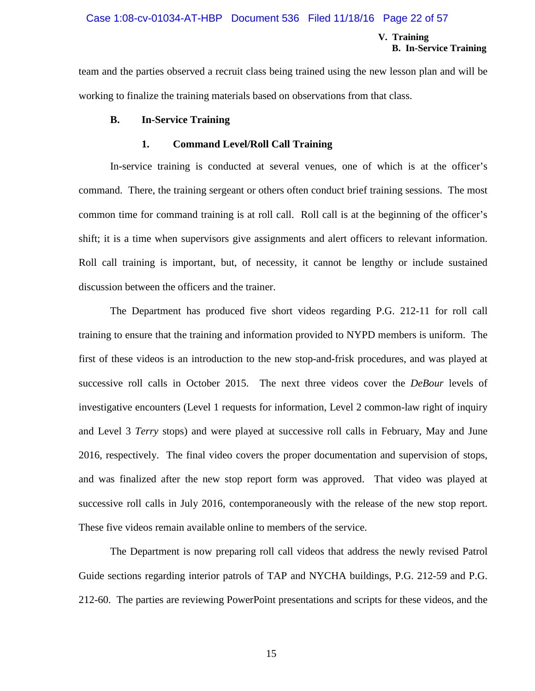#### Case 1:08-cv-01034-AT-HBP Document 536 Filed 11/18/16 Page 22 of 57

#### **V. Training B. In-Service Training**

team and the parties observed a recruit class being trained using the new lesson plan and will be working to finalize the training materials based on observations from that class.

#### **B. In-Service Training**

#### **1. Command Level/Roll Call Training**

In-service training is conducted at several venues, one of which is at the officer's command. There, the training sergeant or others often conduct brief training sessions. The most common time for command training is at roll call. Roll call is at the beginning of the officer's shift; it is a time when supervisors give assignments and alert officers to relevant information. Roll call training is important, but, of necessity, it cannot be lengthy or include sustained discussion between the officers and the trainer.

The Department has produced five short videos regarding P.G. 212-11 for roll call training to ensure that the training and information provided to NYPD members is uniform. The first of these videos is an introduction to the new stop-and-frisk procedures, and was played at successive roll calls in October 2015. The next three videos cover the *DeBour* levels of investigative encounters (Level 1 requests for information, Level 2 common-law right of inquiry and Level 3 *Terry* stops) and were played at successive roll calls in February, May and June 2016, respectively. The final video covers the proper documentation and supervision of stops, and was finalized after the new stop report form was approved. That video was played at successive roll calls in July 2016, contemporaneously with the release of the new stop report. These five videos remain available online to members of the service.

The Department is now preparing roll call videos that address the newly revised Patrol Guide sections regarding interior patrols of TAP and NYCHA buildings, P.G. 212-59 and P.G. 212-60. The parties are reviewing PowerPoint presentations and scripts for these videos, and the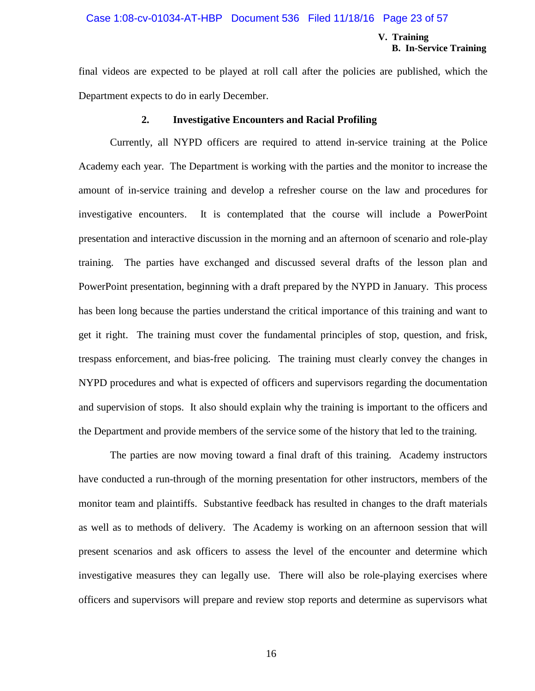#### Case 1:08-cv-01034-AT-HBP Document 536 Filed 11/18/16 Page 23 of 57

#### **V. Training B. In-Service Training**

final videos are expected to be played at roll call after the policies are published, which the Department expects to do in early December.

#### **2. Investigative Encounters and Racial Profiling**

Currently, all NYPD officers are required to attend in-service training at the Police Academy each year. The Department is working with the parties and the monitor to increase the amount of in-service training and develop a refresher course on the law and procedures for investigative encounters. It is contemplated that the course will include a PowerPoint presentation and interactive discussion in the morning and an afternoon of scenario and role-play training. The parties have exchanged and discussed several drafts of the lesson plan and PowerPoint presentation, beginning with a draft prepared by the NYPD in January. This process has been long because the parties understand the critical importance of this training and want to get it right. The training must cover the fundamental principles of stop, question, and frisk, trespass enforcement, and bias-free policing. The training must clearly convey the changes in NYPD procedures and what is expected of officers and supervisors regarding the documentation and supervision of stops. It also should explain why the training is important to the officers and the Department and provide members of the service some of the history that led to the training.

The parties are now moving toward a final draft of this training. Academy instructors have conducted a run-through of the morning presentation for other instructors, members of the monitor team and plaintiffs. Substantive feedback has resulted in changes to the draft materials as well as to methods of delivery. The Academy is working on an afternoon session that will present scenarios and ask officers to assess the level of the encounter and determine which investigative measures they can legally use. There will also be role-playing exercises where officers and supervisors will prepare and review stop reports and determine as supervisors what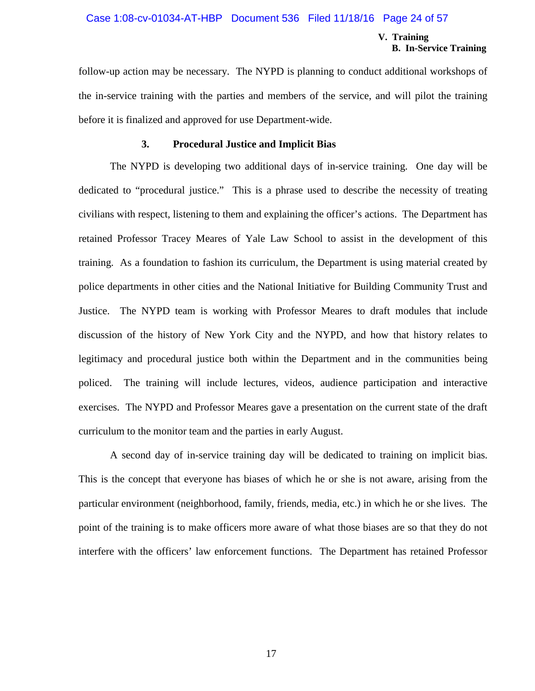#### Case 1:08-cv-01034-AT-HBP Document 536 Filed 11/18/16 Page 24 of 57

#### **V. Training B. In-Service Training**

follow-up action may be necessary. The NYPD is planning to conduct additional workshops of the in-service training with the parties and members of the service, and will pilot the training before it is finalized and approved for use Department-wide.

#### **3. Procedural Justice and Implicit Bias**

The NYPD is developing two additional days of in-service training. One day will be dedicated to "procedural justice." This is a phrase used to describe the necessity of treating civilians with respect, listening to them and explaining the officer's actions. The Department has retained Professor Tracey Meares of Yale Law School to assist in the development of this training. As a foundation to fashion its curriculum, the Department is using material created by police departments in other cities and the National Initiative for Building Community Trust and Justice. The NYPD team is working with Professor Meares to draft modules that include discussion of the history of New York City and the NYPD, and how that history relates to legitimacy and procedural justice both within the Department and in the communities being policed. The training will include lectures, videos, audience participation and interactive exercises. The NYPD and Professor Meares gave a presentation on the current state of the draft curriculum to the monitor team and the parties in early August.

A second day of in-service training day will be dedicated to training on implicit bias. This is the concept that everyone has biases of which he or she is not aware, arising from the particular environment (neighborhood, family, friends, media, etc.) in which he or she lives. The point of the training is to make officers more aware of what those biases are so that they do not interfere with the officers' law enforcement functions. The Department has retained Professor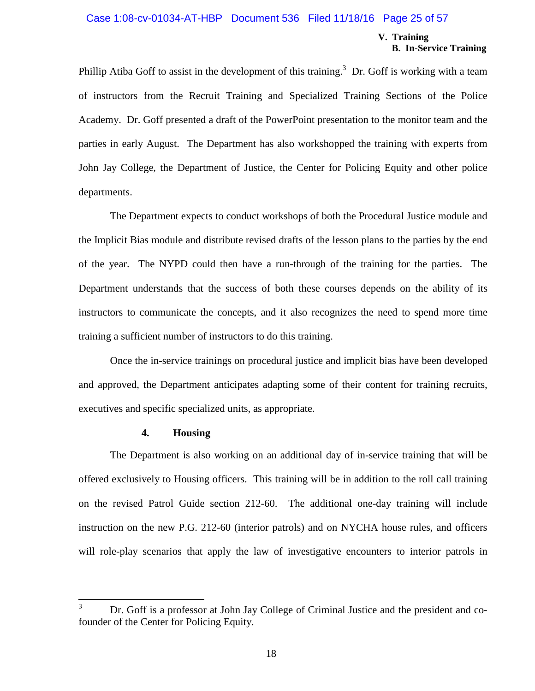#### Case 1:08-cv-01034-AT-HBP Document 536 Filed 11/18/16 Page 25 of 57

#### **V. Training B. In-Service Training**

Phillip Atiba Goff to assist in the development of this training.<sup>3</sup> Dr. Goff is working with a team of instructors from the Recruit Training and Specialized Training Sections of the Police Academy. Dr. Goff presented a draft of the PowerPoint presentation to the monitor team and the parties in early August. The Department has also workshopped the training with experts from John Jay College, the Department of Justice, the Center for Policing Equity and other police departments.

The Department expects to conduct workshops of both the Procedural Justice module and the Implicit Bias module and distribute revised drafts of the lesson plans to the parties by the end of the year. The NYPD could then have a run-through of the training for the parties. The Department understands that the success of both these courses depends on the ability of its instructors to communicate the concepts, and it also recognizes the need to spend more time training a sufficient number of instructors to do this training.

Once the in-service trainings on procedural justice and implicit bias have been developed and approved, the Department anticipates adapting some of their content for training recruits, executives and specific specialized units, as appropriate.

#### **4. Housing**

The Department is also working on an additional day of in-service training that will be offered exclusively to Housing officers. This training will be in addition to the roll call training on the revised Patrol Guide section 212-60. The additional one-day training will include instruction on the new P.G. 212-60 (interior patrols) and on NYCHA house rules, and officers will role-play scenarios that apply the law of investigative encounters to interior patrols in

<sup>&</sup>lt;sup>3</sup> Dr. Goff is a professor at John Jay College of Criminal Justice and the president and cofounder of the Center for Policing Equity.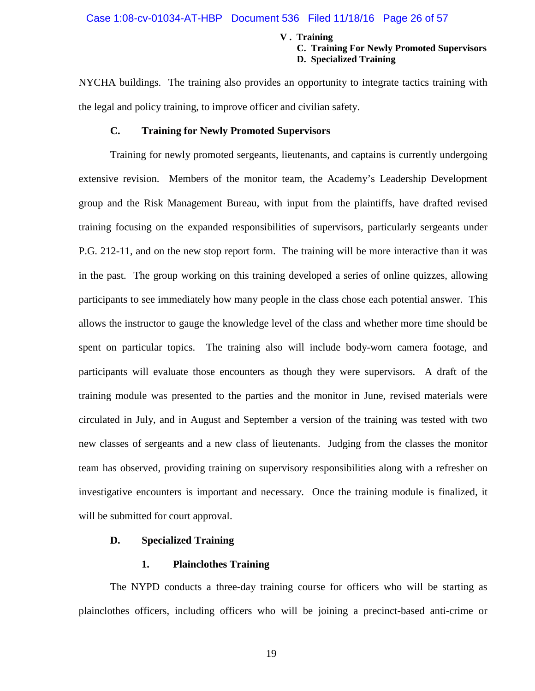### Case 1:08-cv-01034-AT-HBP Document 536 Filed 11/18/16 Page 26 of 57

#### **V . Training**

#### **C. Training For Newly Promoted Supervisors D. Specialized Training**

NYCHA buildings. The training also provides an opportunity to integrate tactics training with the legal and policy training, to improve officer and civilian safety.

#### **C. Training for Newly Promoted Supervisors**

Training for newly promoted sergeants, lieutenants, and captains is currently undergoing extensive revision. Members of the monitor team, the Academy's Leadership Development group and the Risk Management Bureau, with input from the plaintiffs, have drafted revised training focusing on the expanded responsibilities of supervisors, particularly sergeants under P.G. 212-11, and on the new stop report form. The training will be more interactive than it was in the past. The group working on this training developed a series of online quizzes, allowing participants to see immediately how many people in the class chose each potential answer. This allows the instructor to gauge the knowledge level of the class and whether more time should be spent on particular topics. The training also will include body-worn camera footage, and participants will evaluate those encounters as though they were supervisors. A draft of the training module was presented to the parties and the monitor in June, revised materials were circulated in July, and in August and September a version of the training was tested with two new classes of sergeants and a new class of lieutenants. Judging from the classes the monitor team has observed, providing training on supervisory responsibilities along with a refresher on investigative encounters is important and necessary. Once the training module is finalized, it will be submitted for court approval.

#### **D. Specialized Training**

#### **1. Plainclothes Training**

The NYPD conducts a three-day training course for officers who will be starting as plainclothes officers, including officers who will be joining a precinct-based anti-crime or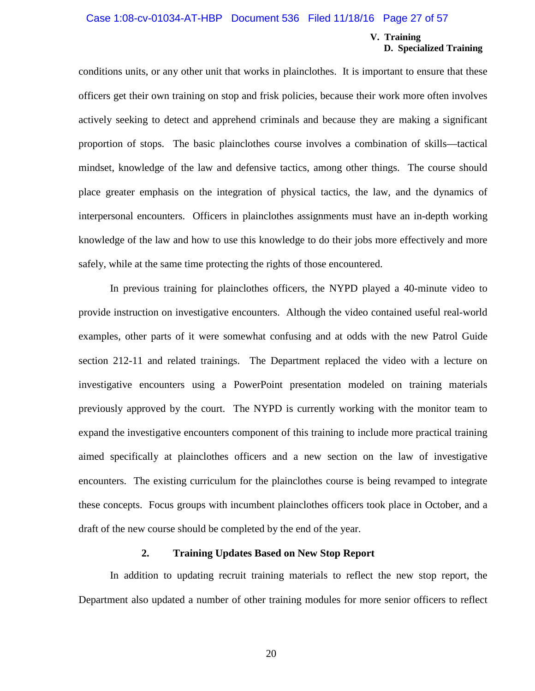#### Case 1:08-cv-01034-AT-HBP Document 536 Filed 11/18/16 Page 27 of 57

#### **V. Training D. Specialized Training**

conditions units, or any other unit that works in plainclothes. It is important to ensure that these officers get their own training on stop and frisk policies, because their work more often involves actively seeking to detect and apprehend criminals and because they are making a significant proportion of stops. The basic plainclothes course involves a combination of skills—tactical mindset, knowledge of the law and defensive tactics, among other things. The course should place greater emphasis on the integration of physical tactics, the law, and the dynamics of interpersonal encounters. Officers in plainclothes assignments must have an in-depth working knowledge of the law and how to use this knowledge to do their jobs more effectively and more safely, while at the same time protecting the rights of those encountered.

In previous training for plainclothes officers, the NYPD played a 40-minute video to provide instruction on investigative encounters. Although the video contained useful real-world examples, other parts of it were somewhat confusing and at odds with the new Patrol Guide section 212-11 and related trainings. The Department replaced the video with a lecture on investigative encounters using a PowerPoint presentation modeled on training materials previously approved by the court. The NYPD is currently working with the monitor team to expand the investigative encounters component of this training to include more practical training aimed specifically at plainclothes officers and a new section on the law of investigative encounters. The existing curriculum for the plainclothes course is being revamped to integrate these concepts. Focus groups with incumbent plainclothes officers took place in October, and a draft of the new course should be completed by the end of the year.

#### **2. Training Updates Based on New Stop Report**

In addition to updating recruit training materials to reflect the new stop report, the Department also updated a number of other training modules for more senior officers to reflect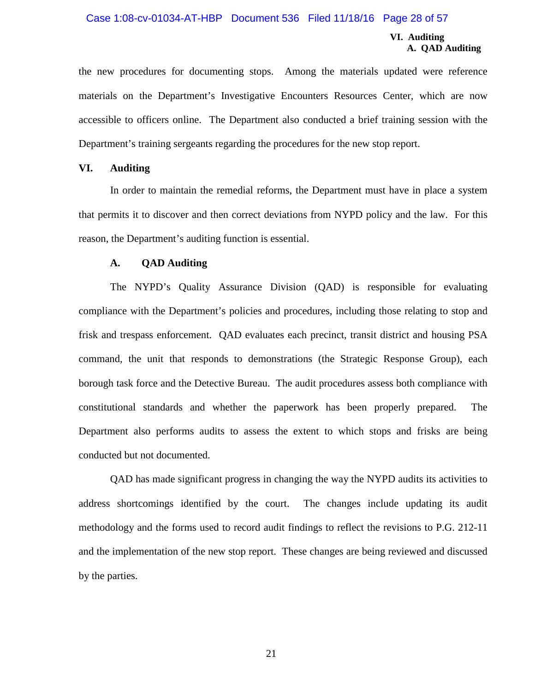#### Case 1:08-cv-01034-AT-HBP Document 536 Filed 11/18/16 Page 28 of 57

#### **VI. Auditing A. QAD Auditing**

the new procedures for documenting stops. Among the materials updated were reference materials on the Department's Investigative Encounters Resources Center, which are now accessible to officers online. The Department also conducted a brief training session with the Department's training sergeants regarding the procedures for the new stop report.

#### **VI. Auditing**

In order to maintain the remedial reforms, the Department must have in place a system that permits it to discover and then correct deviations from NYPD policy and the law. For this reason, the Department's auditing function is essential.

#### **A. QAD Auditing**

The NYPD's Quality Assurance Division (QAD) is responsible for evaluating compliance with the Department's policies and procedures, including those relating to stop and frisk and trespass enforcement. QAD evaluates each precinct, transit district and housing PSA command, the unit that responds to demonstrations (the Strategic Response Group), each borough task force and the Detective Bureau. The audit procedures assess both compliance with constitutional standards and whether the paperwork has been properly prepared. The Department also performs audits to assess the extent to which stops and frisks are being conducted but not documented.

QAD has made significant progress in changing the way the NYPD audits its activities to address shortcomings identified by the court. The changes include updating its audit methodology and the forms used to record audit findings to reflect the revisions to P.G. 212-11 and the implementation of the new stop report. These changes are being reviewed and discussed by the parties.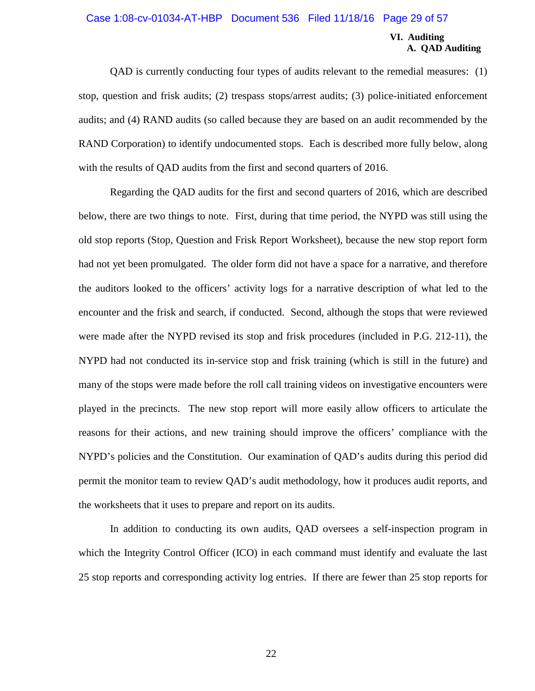#### Case 1:08-cv-01034-AT-HBP Document 536 Filed 11/18/16 Page 29 of 57

#### **VI. Auditing A. QAD Auditing**

QAD is currently conducting four types of audits relevant to the remedial measures: (1) stop, question and frisk audits; (2) trespass stops/arrest audits; (3) police-initiated enforcement audits; and (4) RAND audits (so called because they are based on an audit recommended by the RAND Corporation) to identify undocumented stops. Each is described more fully below, along with the results of QAD audits from the first and second quarters of 2016.

Regarding the QAD audits for the first and second quarters of 2016, which are described below, there are two things to note. First, during that time period, the NYPD was still using the old stop reports (Stop, Question and Frisk Report Worksheet), because the new stop report form had not yet been promulgated. The older form did not have a space for a narrative, and therefore the auditors looked to the officers' activity logs for a narrative description of what led to the encounter and the frisk and search, if conducted. Second, although the stops that were reviewed were made after the NYPD revised its stop and frisk procedures (included in P.G. 212-11), the NYPD had not conducted its in-service stop and frisk training (which is still in the future) and many of the stops were made before the roll call training videos on investigative encounters were played in the precincts. The new stop report will more easily allow officers to articulate the reasons for their actions, and new training should improve the officers' compliance with the NYPD's policies and the Constitution. Our examination of QAD's audits during this period did permit the monitor team to review QAD's audit methodology, how it produces audit reports, and the worksheets that it uses to prepare and report on its audits.

In addition to conducting its own audits, QAD oversees a self-inspection program in which the Integrity Control Officer (ICO) in each command must identify and evaluate the last 25 stop reports and corresponding activity log entries. If there are fewer than 25 stop reports for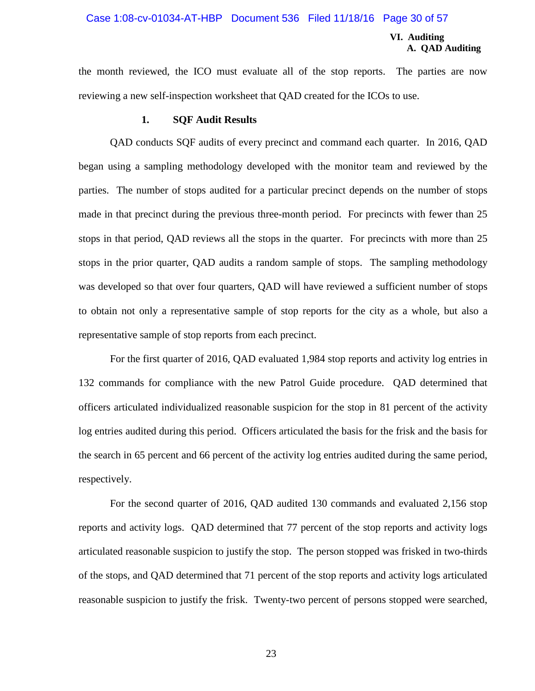#### Case 1:08-cv-01034-AT-HBP Document 536 Filed 11/18/16 Page 30 of 57

#### **VI. Auditing A. QAD Auditing**

the month reviewed, the ICO must evaluate all of the stop reports. The parties are now reviewing a new self-inspection worksheet that QAD created for the ICOs to use.

#### **1. SQF Audit Results**

QAD conducts SQF audits of every precinct and command each quarter. In 2016, QAD began using a sampling methodology developed with the monitor team and reviewed by the parties. The number of stops audited for a particular precinct depends on the number of stops made in that precinct during the previous three-month period. For precincts with fewer than 25 stops in that period, QAD reviews all the stops in the quarter. For precincts with more than 25 stops in the prior quarter, QAD audits a random sample of stops. The sampling methodology was developed so that over four quarters, QAD will have reviewed a sufficient number of stops to obtain not only a representative sample of stop reports for the city as a whole, but also a representative sample of stop reports from each precinct.

For the first quarter of 2016, QAD evaluated 1,984 stop reports and activity log entries in 132 commands for compliance with the new Patrol Guide procedure. QAD determined that officers articulated individualized reasonable suspicion for the stop in 81 percent of the activity log entries audited during this period. Officers articulated the basis for the frisk and the basis for the search in 65 percent and 66 percent of the activity log entries audited during the same period, respectively.

For the second quarter of 2016, QAD audited 130 commands and evaluated 2,156 stop reports and activity logs. QAD determined that 77 percent of the stop reports and activity logs articulated reasonable suspicion to justify the stop. The person stopped was frisked in two-thirds of the stops, and QAD determined that 71 percent of the stop reports and activity logs articulated reasonable suspicion to justify the frisk. Twenty-two percent of persons stopped were searched,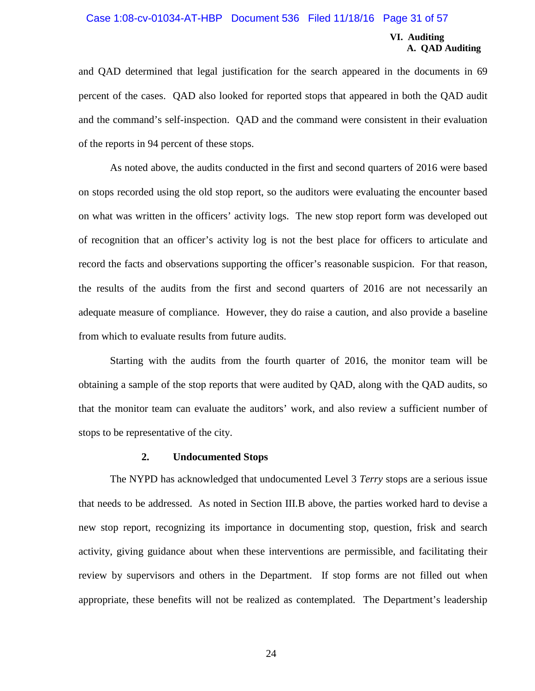#### Case 1:08-cv-01034-AT-HBP Document 536 Filed 11/18/16 Page 31 of 57

#### **VI. Auditing A. QAD Auditing**

and QAD determined that legal justification for the search appeared in the documents in 69 percent of the cases. QAD also looked for reported stops that appeared in both the QAD audit and the command's self-inspection. QAD and the command were consistent in their evaluation of the reports in 94 percent of these stops.

As noted above, the audits conducted in the first and second quarters of 2016 were based on stops recorded using the old stop report, so the auditors were evaluating the encounter based on what was written in the officers' activity logs. The new stop report form was developed out of recognition that an officer's activity log is not the best place for officers to articulate and record the facts and observations supporting the officer's reasonable suspicion. For that reason, the results of the audits from the first and second quarters of 2016 are not necessarily an adequate measure of compliance. However, they do raise a caution, and also provide a baseline from which to evaluate results from future audits.

Starting with the audits from the fourth quarter of 2016, the monitor team will be obtaining a sample of the stop reports that were audited by QAD, along with the QAD audits, so that the monitor team can evaluate the auditors' work, and also review a sufficient number of stops to be representative of the city.

#### **2. Undocumented Stops**

The NYPD has acknowledged that undocumented Level 3 *Terry* stops are a serious issue that needs to be addressed. As noted in Section III.B above, the parties worked hard to devise a new stop report, recognizing its importance in documenting stop, question, frisk and search activity, giving guidance about when these interventions are permissible, and facilitating their review by supervisors and others in the Department. If stop forms are not filled out when appropriate, these benefits will not be realized as contemplated. The Department's leadership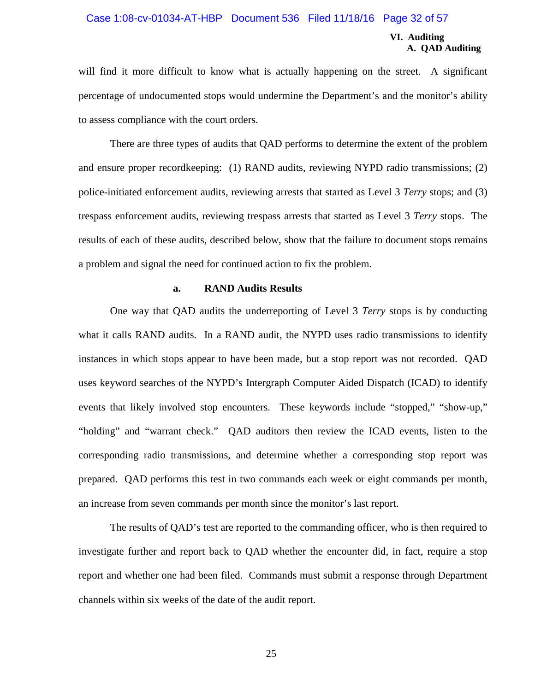#### Case 1:08-cv-01034-AT-HBP Document 536 Filed 11/18/16 Page 32 of 57

#### **VI. Auditing A. QAD Auditing**

will find it more difficult to know what is actually happening on the street. A significant percentage of undocumented stops would undermine the Department's and the monitor's ability to assess compliance with the court orders.

There are three types of audits that QAD performs to determine the extent of the problem and ensure proper recordkeeping: (1) RAND audits, reviewing NYPD radio transmissions; (2) police-initiated enforcement audits, reviewing arrests that started as Level 3 *Terry* stops; and (3) trespass enforcement audits, reviewing trespass arrests that started as Level 3 *Terry* stops. The results of each of these audits, described below, show that the failure to document stops remains a problem and signal the need for continued action to fix the problem.

#### **a. RAND Audits Results**

One way that QAD audits the underreporting of Level 3 *Terry* stops is by conducting what it calls RAND audits. In a RAND audit, the NYPD uses radio transmissions to identify instances in which stops appear to have been made, but a stop report was not recorded. QAD uses keyword searches of the NYPD's Intergraph Computer Aided Dispatch (ICAD) to identify events that likely involved stop encounters. These keywords include "stopped," "show-up," "holding" and "warrant check." QAD auditors then review the ICAD events, listen to the corresponding radio transmissions, and determine whether a corresponding stop report was prepared. QAD performs this test in two commands each week or eight commands per month, an increase from seven commands per month since the monitor's last report.

The results of QAD's test are reported to the commanding officer, who is then required to investigate further and report back to QAD whether the encounter did, in fact, require a stop report and whether one had been filed. Commands must submit a response through Department channels within six weeks of the date of the audit report.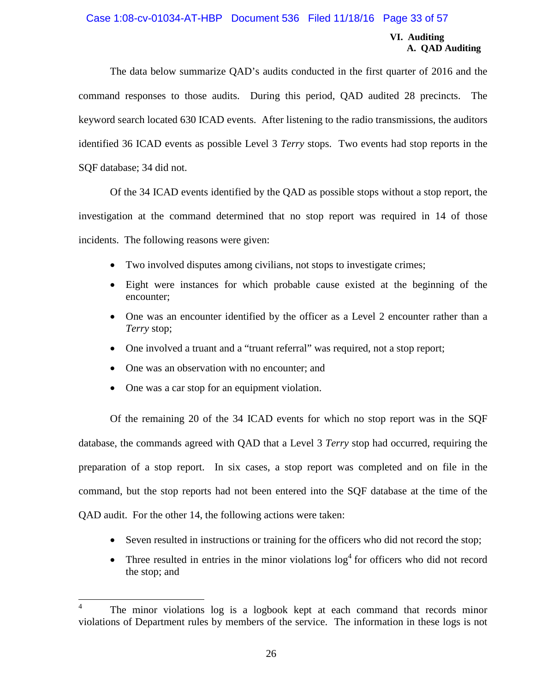#### Case 1:08-cv-01034-AT-HBP Document 536 Filed 11/18/16 Page 33 of 57

#### **VI. Auditing A. QAD Auditing**

The data below summarize QAD's audits conducted in the first quarter of 2016 and the command responses to those audits. During this period, QAD audited 28 precincts. The keyword search located 630 ICAD events. After listening to the radio transmissions, the auditors identified 36 ICAD events as possible Level 3 *Terry* stops. Two events had stop reports in the SQF database; 34 did not.

Of the 34 ICAD events identified by the QAD as possible stops without a stop report, the investigation at the command determined that no stop report was required in 14 of those incidents. The following reasons were given:

- Two involved disputes among civilians, not stops to investigate crimes;
- Eight were instances for which probable cause existed at the beginning of the encounter;
- One was an encounter identified by the officer as a Level 2 encounter rather than a *Terry* stop;
- One involved a truant and a "truant referral" was required, not a stop report;
- One was an observation with no encounter; and
- One was a car stop for an equipment violation.

Of the remaining 20 of the 34 ICAD events for which no stop report was in the SQF database, the commands agreed with QAD that a Level 3 *Terry* stop had occurred, requiring the preparation of a stop report. In six cases, a stop report was completed and on file in the command, but the stop reports had not been entered into the SQF database at the time of the QAD audit. For the other 14, the following actions were taken:

- Seven resulted in instructions or training for the officers who did not record the stop;
- Three resulted in entries in the minor violations  $\log^4$  for officers who did not record the stop; and

<sup>4</sup> The minor violations log is a logbook kept at each command that records minor violations of Department rules by members of the service. The information in these logs is not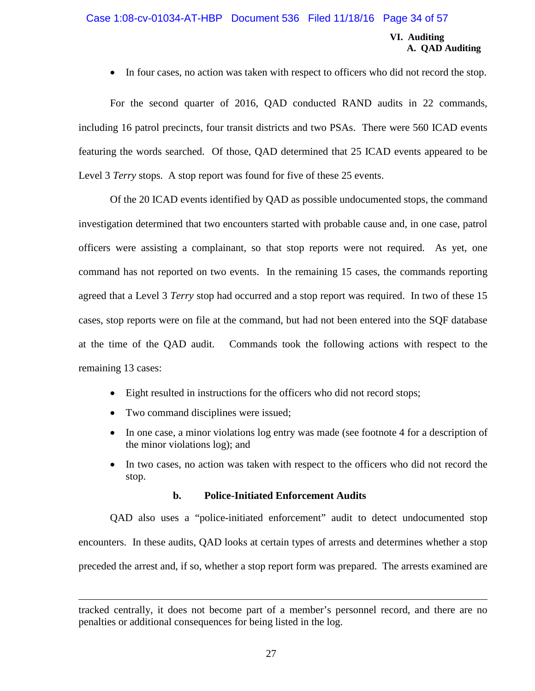#### Case 1:08-cv-01034-AT-HBP Document 536 Filed 11/18/16 Page 34 of 57

#### **VI. Auditing A. QAD Auditing**

• In four cases, no action was taken with respect to officers who did not record the stop.

For the second quarter of 2016, QAD conducted RAND audits in 22 commands, including 16 patrol precincts, four transit districts and two PSAs. There were 560 ICAD events featuring the words searched. Of those, QAD determined that 25 ICAD events appeared to be Level 3 *Terry* stops. A stop report was found for five of these 25 events.

Of the 20 ICAD events identified by QAD as possible undocumented stops, the command investigation determined that two encounters started with probable cause and, in one case, patrol officers were assisting a complainant, so that stop reports were not required. As yet, one command has not reported on two events. In the remaining 15 cases, the commands reporting agreed that a Level 3 *Terry* stop had occurred and a stop report was required. In two of these 15 cases, stop reports were on file at the command, but had not been entered into the SQF database at the time of the QAD audit. Commands took the following actions with respect to the remaining 13 cases:

- Eight resulted in instructions for the officers who did not record stops;
- Two command disciplines were issued;
- In one case, a minor violations log entry was made (see footnote 4 for a description of the minor violations log); and
- In two cases, no action was taken with respect to the officers who did not record the stop.

#### **b. Police-Initiated Enforcement Audits**

QAD also uses a "police-initiated enforcement" audit to detect undocumented stop encounters. In these audits, QAD looks at certain types of arrests and determines whether a stop preceded the arrest and, if so, whether a stop report form was prepared. The arrests examined are

tracked centrally, it does not become part of a member's personnel record, and there are no penalties or additional consequences for being listed in the log.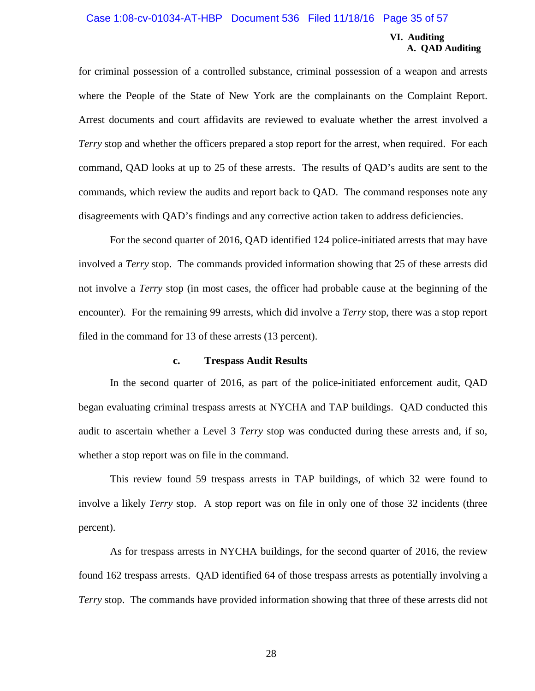#### Case 1:08-cv-01034-AT-HBP Document 536 Filed 11/18/16 Page 35 of 57

#### **VI. Auditing A. QAD Auditing**

for criminal possession of a controlled substance, criminal possession of a weapon and arrests where the People of the State of New York are the complainants on the Complaint Report. Arrest documents and court affidavits are reviewed to evaluate whether the arrest involved a *Terry* stop and whether the officers prepared a stop report for the arrest, when required. For each command, QAD looks at up to 25 of these arrests. The results of QAD's audits are sent to the commands, which review the audits and report back to QAD. The command responses note any disagreements with QAD's findings and any corrective action taken to address deficiencies.

For the second quarter of 2016, QAD identified 124 police-initiated arrests that may have involved a *Terry* stop. The commands provided information showing that 25 of these arrests did not involve a *Terry* stop (in most cases, the officer had probable cause at the beginning of the encounter). For the remaining 99 arrests, which did involve a *Terry* stop, there was a stop report filed in the command for 13 of these arrests (13 percent).

#### **c. Trespass Audit Results**

In the second quarter of 2016, as part of the police-initiated enforcement audit, QAD began evaluating criminal trespass arrests at NYCHA and TAP buildings. QAD conducted this audit to ascertain whether a Level 3 *Terry* stop was conducted during these arrests and, if so, whether a stop report was on file in the command.

This review found 59 trespass arrests in TAP buildings, of which 32 were found to involve a likely *Terry* stop. A stop report was on file in only one of those 32 incidents (three percent).

As for trespass arrests in NYCHA buildings, for the second quarter of 2016, the review found 162 trespass arrests. QAD identified 64 of those trespass arrests as potentially involving a *Terry* stop. The commands have provided information showing that three of these arrests did not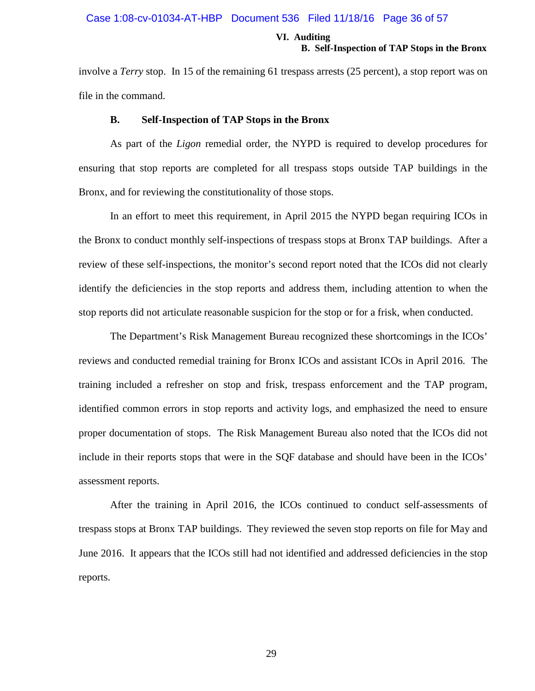#### Case 1:08-cv-01034-AT-HBP Document 536 Filed 11/18/16 Page 36 of 57

#### **VI. Auditing B. Self-Inspection of TAP Stops in the Bronx**

involve a *Terry* stop. In 15 of the remaining 61 trespass arrests (25 percent), a stop report was on file in the command.

#### **B. Self-Inspection of TAP Stops in the Bronx**

As part of the *Ligon* remedial order, the NYPD is required to develop procedures for ensuring that stop reports are completed for all trespass stops outside TAP buildings in the Bronx, and for reviewing the constitutionality of those stops.

In an effort to meet this requirement, in April 2015 the NYPD began requiring ICOs in the Bronx to conduct monthly self-inspections of trespass stops at Bronx TAP buildings. After a review of these self-inspections, the monitor's second report noted that the ICOs did not clearly identify the deficiencies in the stop reports and address them, including attention to when the stop reports did not articulate reasonable suspicion for the stop or for a frisk, when conducted.

The Department's Risk Management Bureau recognized these shortcomings in the ICOs' reviews and conducted remedial training for Bronx ICOs and assistant ICOs in April 2016. The training included a refresher on stop and frisk, trespass enforcement and the TAP program, identified common errors in stop reports and activity logs, and emphasized the need to ensure proper documentation of stops. The Risk Management Bureau also noted that the ICOs did not include in their reports stops that were in the SQF database and should have been in the ICOs' assessment reports.

After the training in April 2016, the ICOs continued to conduct self-assessments of trespass stops at Bronx TAP buildings. They reviewed the seven stop reports on file for May and June 2016. It appears that the ICOs still had not identified and addressed deficiencies in the stop reports.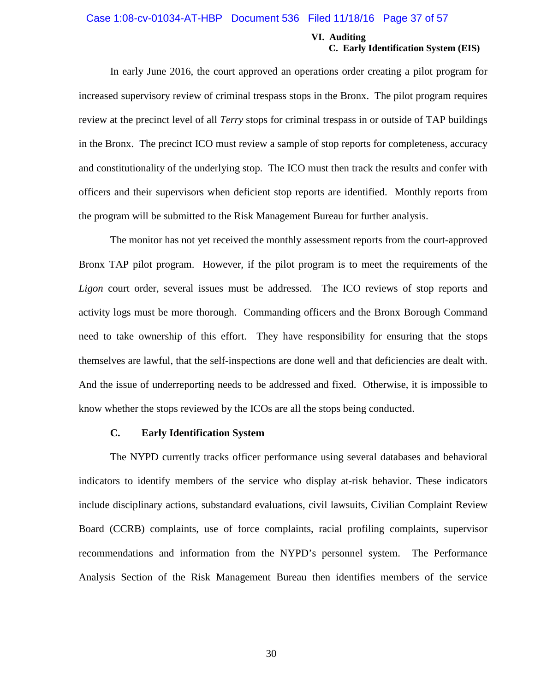#### Case 1:08-cv-01034-AT-HBP Document 536 Filed 11/18/16 Page 37 of 57

#### **VI. Auditing C. Early Identification System (EIS)**

In early June 2016, the court approved an operations order creating a pilot program for increased supervisory review of criminal trespass stops in the Bronx. The pilot program requires review at the precinct level of all *Terry* stops for criminal trespass in or outside of TAP buildings in the Bronx. The precinct ICO must review a sample of stop reports for completeness, accuracy and constitutionality of the underlying stop. The ICO must then track the results and confer with officers and their supervisors when deficient stop reports are identified. Monthly reports from the program will be submitted to the Risk Management Bureau for further analysis.

The monitor has not yet received the monthly assessment reports from the court-approved Bronx TAP pilot program. However, if the pilot program is to meet the requirements of the *Ligon* court order, several issues must be addressed. The ICO reviews of stop reports and activity logs must be more thorough. Commanding officers and the Bronx Borough Command need to take ownership of this effort. They have responsibility for ensuring that the stops themselves are lawful, that the self-inspections are done well and that deficiencies are dealt with. And the issue of underreporting needs to be addressed and fixed. Otherwise, it is impossible to know whether the stops reviewed by the ICOs are all the stops being conducted.

#### **C. Early Identification System**

The NYPD currently tracks officer performance using several databases and behavioral indicators to identify members of the service who display at-risk behavior. These indicators include disciplinary actions, substandard evaluations, civil lawsuits, Civilian Complaint Review Board (CCRB) complaints, use of force complaints, racial profiling complaints, supervisor recommendations and information from the NYPD's personnel system. The Performance Analysis Section of the Risk Management Bureau then identifies members of the service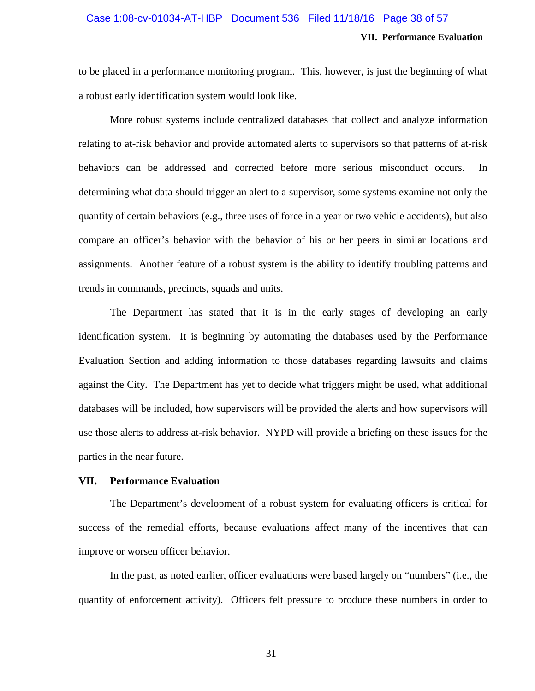### Case 1:08-cv-01034-AT-HBP Document 536 Filed 11/18/16 Page 38 of 57

#### **VII. Performance Evaluation**

to be placed in a performance monitoring program. This, however, is just the beginning of what a robust early identification system would look like.

More robust systems include centralized databases that collect and analyze information relating to at-risk behavior and provide automated alerts to supervisors so that patterns of at-risk behaviors can be addressed and corrected before more serious misconduct occurs. In determining what data should trigger an alert to a supervisor, some systems examine not only the quantity of certain behaviors (e.g., three uses of force in a year or two vehicle accidents), but also compare an officer's behavior with the behavior of his or her peers in similar locations and assignments. Another feature of a robust system is the ability to identify troubling patterns and trends in commands, precincts, squads and units.

The Department has stated that it is in the early stages of developing an early identification system. It is beginning by automating the databases used by the Performance Evaluation Section and adding information to those databases regarding lawsuits and claims against the City. The Department has yet to decide what triggers might be used, what additional databases will be included, how supervisors will be provided the alerts and how supervisors will use those alerts to address at-risk behavior. NYPD will provide a briefing on these issues for the parties in the near future.

#### **VII. Performance Evaluation**

The Department's development of a robust system for evaluating officers is critical for success of the remedial efforts, because evaluations affect many of the incentives that can improve or worsen officer behavior.

In the past, as noted earlier, officer evaluations were based largely on "numbers" (i.e., the quantity of enforcement activity). Officers felt pressure to produce these numbers in order to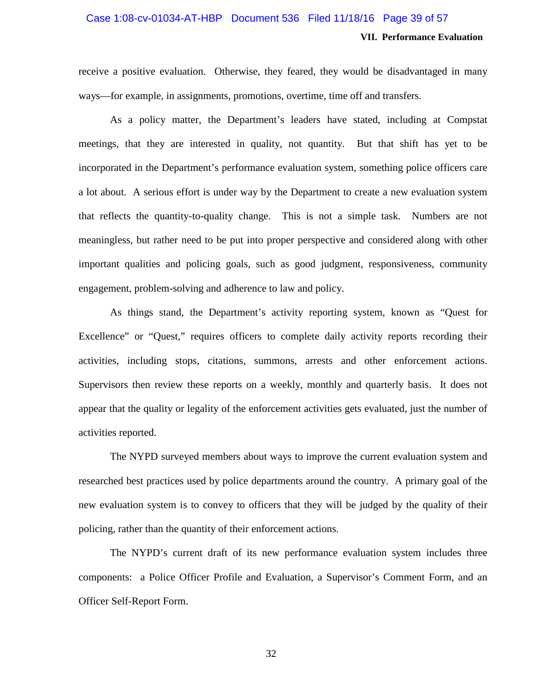#### Case 1:08-cv-01034-AT-HBP Document 536 Filed 11/18/16 Page 39 of 57

#### **VII. Performance Evaluation**

receive a positive evaluation. Otherwise, they feared, they would be disadvantaged in many ways—for example, in assignments, promotions, overtime, time off and transfers.

As a policy matter, the Department's leaders have stated, including at Compstat meetings, that they are interested in quality, not quantity. But that shift has yet to be incorporated in the Department's performance evaluation system, something police officers care a lot about. A serious effort is under way by the Department to create a new evaluation system that reflects the quantity-to-quality change. This is not a simple task. Numbers are not meaningless, but rather need to be put into proper perspective and considered along with other important qualities and policing goals, such as good judgment, responsiveness, community engagement, problem-solving and adherence to law and policy.

As things stand, the Department's activity reporting system, known as "Quest for Excellence" or "Quest," requires officers to complete daily activity reports recording their activities, including stops, citations, summons, arrests and other enforcement actions. Supervisors then review these reports on a weekly, monthly and quarterly basis. It does not appear that the quality or legality of the enforcement activities gets evaluated, just the number of activities reported.

The NYPD surveyed members about ways to improve the current evaluation system and researched best practices used by police departments around the country. A primary goal of the new evaluation system is to convey to officers that they will be judged by the quality of their policing, rather than the quantity of their enforcement actions.

The NYPD's current draft of its new performance evaluation system includes three components: a Police Officer Profile and Evaluation, a Supervisor's Comment Form, and an Officer Self-Report Form.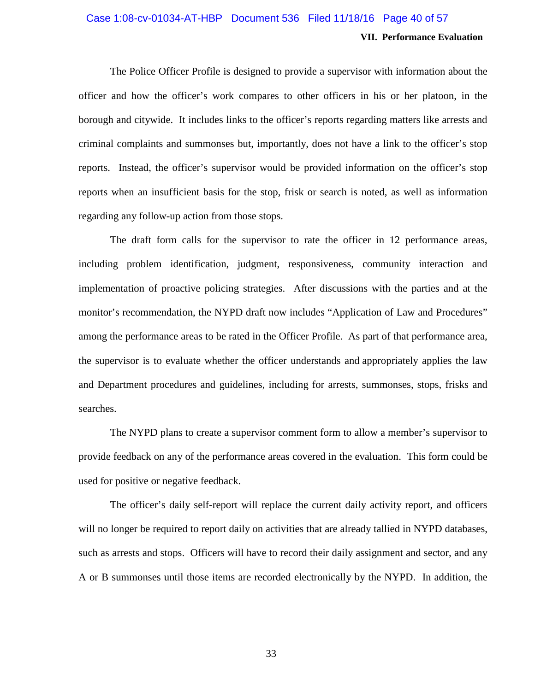### **VII. Performance Evaluation** Case 1:08-cv-01034-AT-HBP Document 536 Filed 11/18/16 Page 40 of 57

The Police Officer Profile is designed to provide a supervisor with information about the officer and how the officer's work compares to other officers in his or her platoon, in the borough and citywide. It includes links to the officer's reports regarding matters like arrests and criminal complaints and summonses but, importantly, does not have a link to the officer's stop reports. Instead, the officer's supervisor would be provided information on the officer's stop reports when an insufficient basis for the stop, frisk or search is noted, as well as information regarding any follow-up action from those stops.

The draft form calls for the supervisor to rate the officer in 12 performance areas, including problem identification, judgment, responsiveness, community interaction and implementation of proactive policing strategies. After discussions with the parties and at the monitor's recommendation, the NYPD draft now includes "Application of Law and Procedures" among the performance areas to be rated in the Officer Profile. As part of that performance area, the supervisor is to evaluate whether the officer understands and appropriately applies the law and Department procedures and guidelines, including for arrests, summonses, stops, frisks and searches.

The NYPD plans to create a supervisor comment form to allow a member's supervisor to provide feedback on any of the performance areas covered in the evaluation. This form could be used for positive or negative feedback.

The officer's daily self-report will replace the current daily activity report, and officers will no longer be required to report daily on activities that are already tallied in NYPD databases, such as arrests and stops. Officers will have to record their daily assignment and sector, and any A or B summonses until those items are recorded electronically by the NYPD. In addition, the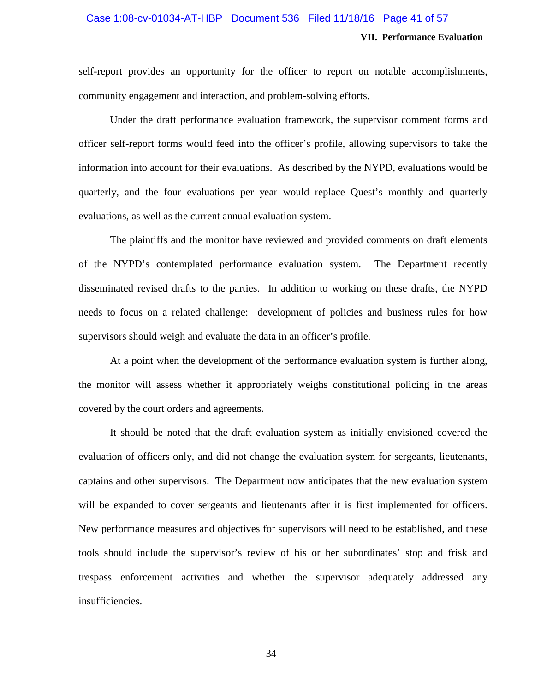#### Case 1:08-cv-01034-AT-HBP Document 536 Filed 11/18/16 Page 41 of 57

#### **VII. Performance Evaluation**

self-report provides an opportunity for the officer to report on notable accomplishments, community engagement and interaction, and problem-solving efforts.

Under the draft performance evaluation framework, the supervisor comment forms and officer self-report forms would feed into the officer's profile, allowing supervisors to take the information into account for their evaluations. As described by the NYPD, evaluations would be quarterly, and the four evaluations per year would replace Quest's monthly and quarterly evaluations, as well as the current annual evaluation system.

The plaintiffs and the monitor have reviewed and provided comments on draft elements of the NYPD's contemplated performance evaluation system. The Department recently disseminated revised drafts to the parties. In addition to working on these drafts, the NYPD needs to focus on a related challenge: development of policies and business rules for how supervisors should weigh and evaluate the data in an officer's profile.

At a point when the development of the performance evaluation system is further along, the monitor will assess whether it appropriately weighs constitutional policing in the areas covered by the court orders and agreements.

It should be noted that the draft evaluation system as initially envisioned covered the evaluation of officers only, and did not change the evaluation system for sergeants, lieutenants, captains and other supervisors. The Department now anticipates that the new evaluation system will be expanded to cover sergeants and lieutenants after it is first implemented for officers. New performance measures and objectives for supervisors will need to be established, and these tools should include the supervisor's review of his or her subordinates' stop and frisk and trespass enforcement activities and whether the supervisor adequately addressed any insufficiencies.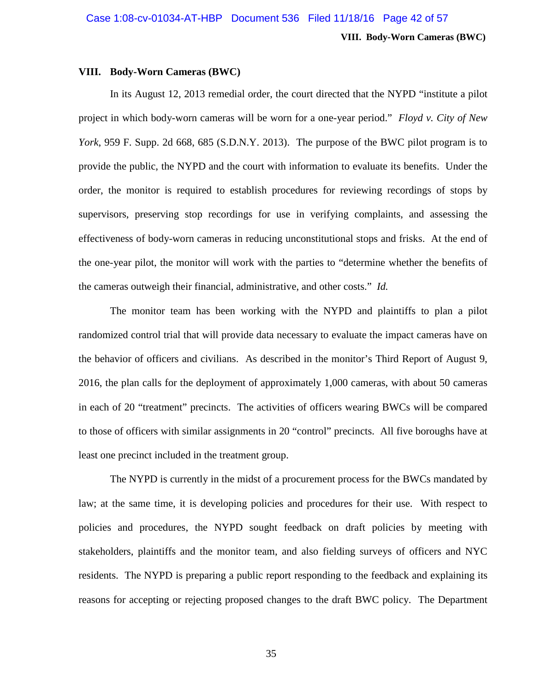**VIII. Body-Worn Cameras (BWC)**

#### **VIII. Body-Worn Cameras (BWC)**

In its August 12, 2013 remedial order, the court directed that the NYPD "institute a pilot project in which body-worn cameras will be worn for a one-year period." *Floyd v. City of New York*, 959 F. Supp. 2d 668, 685 (S.D.N.Y. 2013). The purpose of the BWC pilot program is to provide the public, the NYPD and the court with information to evaluate its benefits. Under the order, the monitor is required to establish procedures for reviewing recordings of stops by supervisors, preserving stop recordings for use in verifying complaints, and assessing the effectiveness of body-worn cameras in reducing unconstitutional stops and frisks. At the end of the one-year pilot, the monitor will work with the parties to "determine whether the benefits of the cameras outweigh their financial, administrative, and other costs." *Id.*

The monitor team has been working with the NYPD and plaintiffs to plan a pilot randomized control trial that will provide data necessary to evaluate the impact cameras have on the behavior of officers and civilians. As described in the monitor's Third Report of August 9, 2016, the plan calls for the deployment of approximately 1,000 cameras, with about 50 cameras in each of 20 "treatment" precincts. The activities of officers wearing BWCs will be compared to those of officers with similar assignments in 20 "control" precincts. All five boroughs have at least one precinct included in the treatment group.

The NYPD is currently in the midst of a procurement process for the BWCs mandated by law; at the same time, it is developing policies and procedures for their use. With respect to policies and procedures, the NYPD sought feedback on draft policies by meeting with stakeholders, plaintiffs and the monitor team, and also fielding surveys of officers and NYC residents. The NYPD is preparing a public report responding to the feedback and explaining its reasons for accepting or rejecting proposed changes to the draft BWC policy. The Department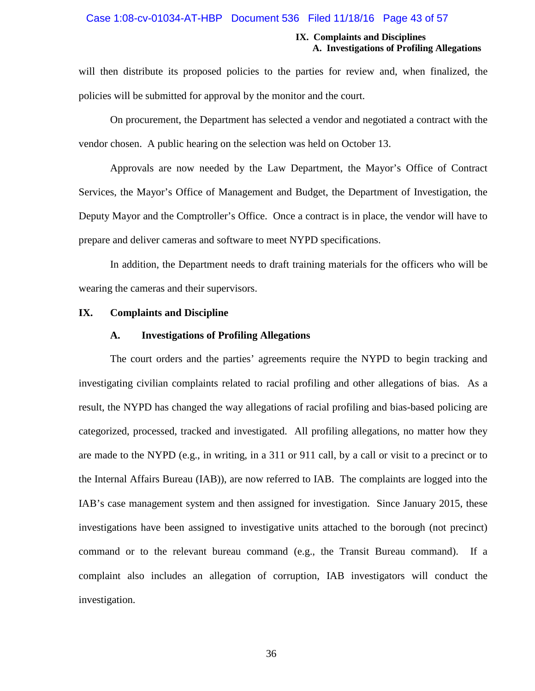#### Case 1:08-cv-01034-AT-HBP Document 536 Filed 11/18/16 Page 43 of 57

#### **IX. Complaints and Disciplines A. Investigations of Profiling Allegations**

will then distribute its proposed policies to the parties for review and, when finalized, the policies will be submitted for approval by the monitor and the court.

On procurement, the Department has selected a vendor and negotiated a contract with the vendor chosen. A public hearing on the selection was held on October 13.

Approvals are now needed by the Law Department, the Mayor's Office of Contract Services, the Mayor's Office of Management and Budget, the Department of Investigation, the Deputy Mayor and the Comptroller's Office. Once a contract is in place, the vendor will have to prepare and deliver cameras and software to meet NYPD specifications.

In addition, the Department needs to draft training materials for the officers who will be wearing the cameras and their supervisors.

#### **IX. Complaints and Discipline**

#### **A. Investigations of Profiling Allegations**

The court orders and the parties' agreements require the NYPD to begin tracking and investigating civilian complaints related to racial profiling and other allegations of bias. As a result, the NYPD has changed the way allegations of racial profiling and bias-based policing are categorized, processed, tracked and investigated. All profiling allegations, no matter how they are made to the NYPD (e.g., in writing, in a 311 or 911 call, by a call or visit to a precinct or to the Internal Affairs Bureau (IAB)), are now referred to IAB. The complaints are logged into the IAB's case management system and then assigned for investigation. Since January 2015, these investigations have been assigned to investigative units attached to the borough (not precinct) command or to the relevant bureau command (e.g., the Transit Bureau command). If a complaint also includes an allegation of corruption, IAB investigators will conduct the investigation.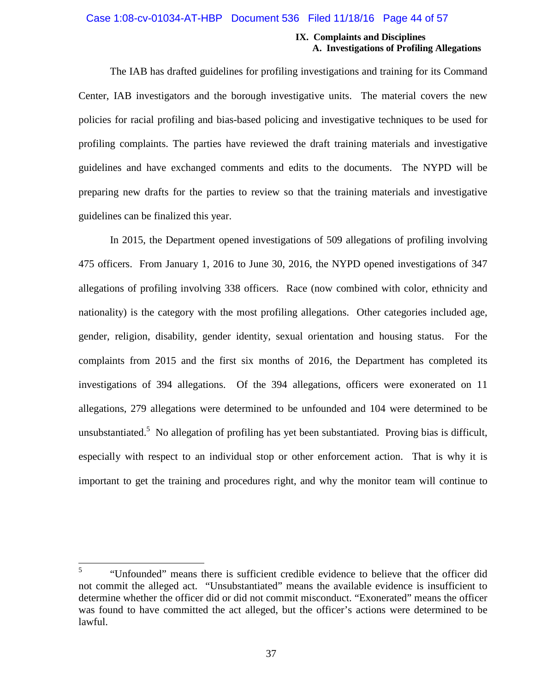#### Case 1:08-cv-01034-AT-HBP Document 536 Filed 11/18/16 Page 44 of 57

#### **IX. Complaints and Disciplines A. Investigations of Profiling Allegations**

The IAB has drafted guidelines for profiling investigations and training for its Command Center, IAB investigators and the borough investigative units. The material covers the new policies for racial profiling and bias-based policing and investigative techniques to be used for profiling complaints. The parties have reviewed the draft training materials and investigative guidelines and have exchanged comments and edits to the documents. The NYPD will be preparing new drafts for the parties to review so that the training materials and investigative guidelines can be finalized this year.

In 2015, the Department opened investigations of 509 allegations of profiling involving 475 officers. From January 1, 2016 to June 30, 2016, the NYPD opened investigations of 347 allegations of profiling involving 338 officers. Race (now combined with color, ethnicity and nationality) is the category with the most profiling allegations. Other categories included age, gender, religion, disability, gender identity, sexual orientation and housing status. For the complaints from 2015 and the first six months of 2016, the Department has completed its investigations of 394 allegations. Of the 394 allegations, officers were exonerated on 11 allegations, 279 allegations were determined to be unfounded and 104 were determined to be unsubstantiated.<sup>5</sup> No allegation of profiling has yet been substantiated. Proving bias is difficult, especially with respect to an individual stop or other enforcement action. That is why it is important to get the training and procedures right, and why the monitor team will continue to

<sup>5</sup> "Unfounded" means there is sufficient credible evidence to believe that the officer did not commit the alleged act. "Unsubstantiated" means the available evidence is insufficient to determine whether the officer did or did not commit misconduct. "Exonerated" means the officer was found to have committed the act alleged, but the officer's actions were determined to be lawful.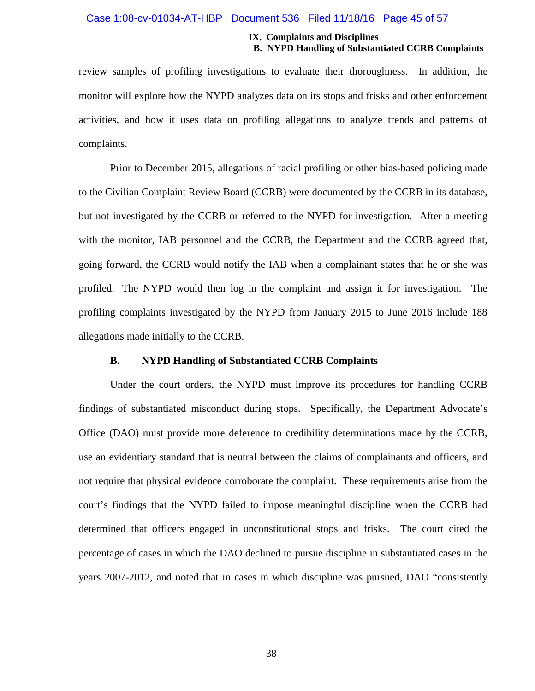#### Case 1:08-cv-01034-AT-HBP Document 536 Filed 11/18/16 Page 45 of 57

#### **IX. Complaints and Disciplines B. NYPD Handling of Substantiated CCRB Complaints**

review samples of profiling investigations to evaluate their thoroughness. In addition, the monitor will explore how the NYPD analyzes data on its stops and frisks and other enforcement activities, and how it uses data on profiling allegations to analyze trends and patterns of complaints.

Prior to December 2015, allegations of racial profiling or other bias-based policing made to the Civilian Complaint Review Board (CCRB) were documented by the CCRB in its database, but not investigated by the CCRB or referred to the NYPD for investigation. After a meeting with the monitor, IAB personnel and the CCRB, the Department and the CCRB agreed that, going forward, the CCRB would notify the IAB when a complainant states that he or she was profiled. The NYPD would then log in the complaint and assign it for investigation. The profiling complaints investigated by the NYPD from January 2015 to June 2016 include 188 allegations made initially to the CCRB.

#### **B. NYPD Handling of Substantiated CCRB Complaints**

Under the court orders, the NYPD must improve its procedures for handling CCRB findings of substantiated misconduct during stops. Specifically, the Department Advocate's Office (DAO) must provide more deference to credibility determinations made by the CCRB, use an evidentiary standard that is neutral between the claims of complainants and officers, and not require that physical evidence corroborate the complaint. These requirements arise from the court's findings that the NYPD failed to impose meaningful discipline when the CCRB had determined that officers engaged in unconstitutional stops and frisks. The court cited the percentage of cases in which the DAO declined to pursue discipline in substantiated cases in the years 2007-2012, and noted that in cases in which discipline was pursued, DAO "consistently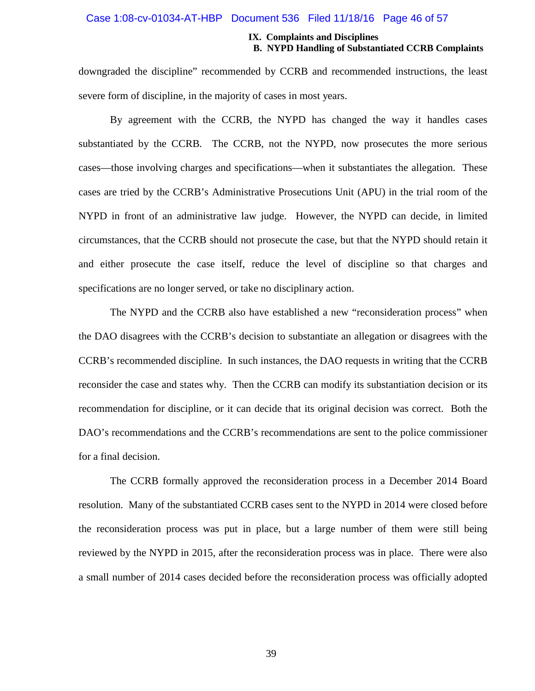#### Case 1:08-cv-01034-AT-HBP Document 536 Filed 11/18/16 Page 46 of 57

#### **IX. Complaints and Disciplines B. NYPD Handling of Substantiated CCRB Complaints**

downgraded the discipline" recommended by CCRB and recommended instructions, the least severe form of discipline, in the majority of cases in most years.

By agreement with the CCRB, the NYPD has changed the way it handles cases substantiated by the CCRB. The CCRB, not the NYPD, now prosecutes the more serious cases—those involving charges and specifications—when it substantiates the allegation. These cases are tried by the CCRB's Administrative Prosecutions Unit (APU) in the trial room of the NYPD in front of an administrative law judge. However, the NYPD can decide, in limited circumstances, that the CCRB should not prosecute the case, but that the NYPD should retain it and either prosecute the case itself, reduce the level of discipline so that charges and specifications are no longer served, or take no disciplinary action.

The NYPD and the CCRB also have established a new "reconsideration process" when the DAO disagrees with the CCRB's decision to substantiate an allegation or disagrees with the CCRB's recommended discipline. In such instances, the DAO requests in writing that the CCRB reconsider the case and states why. Then the CCRB can modify its substantiation decision or its recommendation for discipline, or it can decide that its original decision was correct. Both the DAO's recommendations and the CCRB's recommendations are sent to the police commissioner for a final decision.

The CCRB formally approved the reconsideration process in a December 2014 Board resolution. Many of the substantiated CCRB cases sent to the NYPD in 2014 were closed before the reconsideration process was put in place, but a large number of them were still being reviewed by the NYPD in 2015, after the reconsideration process was in place. There were also a small number of 2014 cases decided before the reconsideration process was officially adopted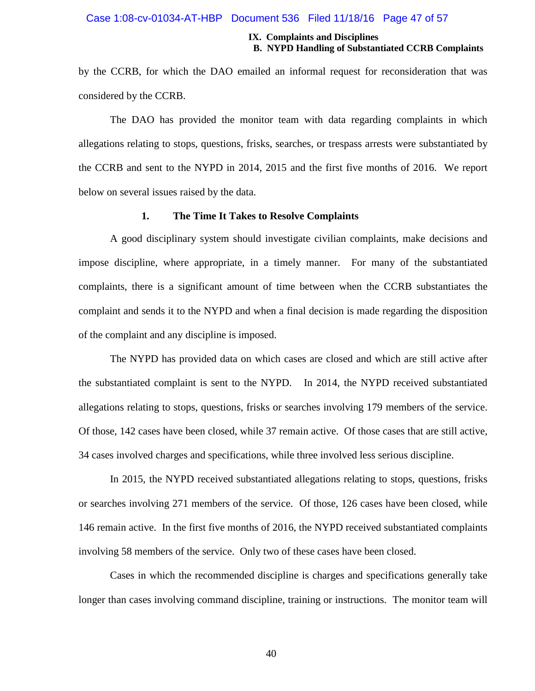#### Case 1:08-cv-01034-AT-HBP Document 536 Filed 11/18/16 Page 47 of 57

#### **IX. Complaints and Disciplines B. NYPD Handling of Substantiated CCRB Complaints**

by the CCRB, for which the DAO emailed an informal request for reconsideration that was considered by the CCRB.

The DAO has provided the monitor team with data regarding complaints in which allegations relating to stops, questions, frisks, searches, or trespass arrests were substantiated by the CCRB and sent to the NYPD in 2014, 2015 and the first five months of 2016. We report below on several issues raised by the data.

#### **1. The Time It Takes to Resolve Complaints**

A good disciplinary system should investigate civilian complaints, make decisions and impose discipline, where appropriate, in a timely manner. For many of the substantiated complaints, there is a significant amount of time between when the CCRB substantiates the complaint and sends it to the NYPD and when a final decision is made regarding the disposition of the complaint and any discipline is imposed.

The NYPD has provided data on which cases are closed and which are still active after the substantiated complaint is sent to the NYPD. In 2014, the NYPD received substantiated allegations relating to stops, questions, frisks or searches involving 179 members of the service. Of those, 142 cases have been closed, while 37 remain active. Of those cases that are still active, 34 cases involved charges and specifications, while three involved less serious discipline.

In 2015, the NYPD received substantiated allegations relating to stops, questions, frisks or searches involving 271 members of the service. Of those, 126 cases have been closed, while 146 remain active. In the first five months of 2016, the NYPD received substantiated complaints involving 58 members of the service. Only two of these cases have been closed.

Cases in which the recommended discipline is charges and specifications generally take longer than cases involving command discipline, training or instructions. The monitor team will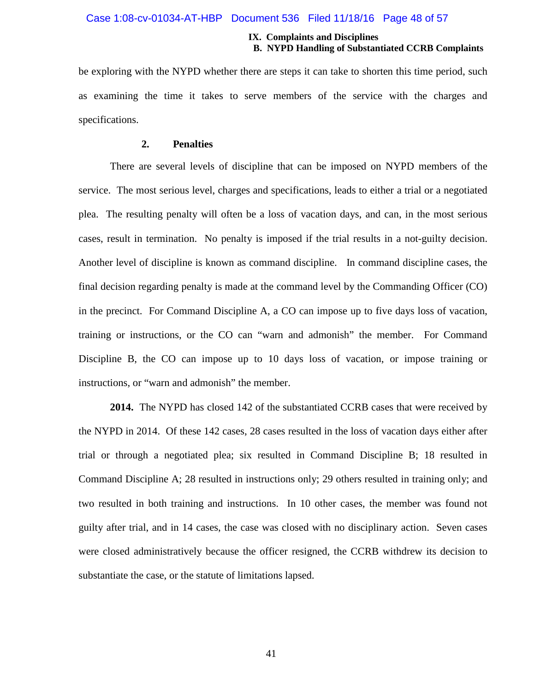#### Case 1:08-cv-01034-AT-HBP Document 536 Filed 11/18/16 Page 48 of 57

#### **IX. Complaints and Disciplines B. NYPD Handling of Substantiated CCRB Complaints**

be exploring with the NYPD whether there are steps it can take to shorten this time period, such as examining the time it takes to serve members of the service with the charges and specifications.

#### **2. Penalties**

There are several levels of discipline that can be imposed on NYPD members of the service. The most serious level, charges and specifications, leads to either a trial or a negotiated plea. The resulting penalty will often be a loss of vacation days, and can, in the most serious cases, result in termination. No penalty is imposed if the trial results in a not-guilty decision. Another level of discipline is known as command discipline. In command discipline cases, the final decision regarding penalty is made at the command level by the Commanding Officer (CO) in the precinct. For Command Discipline A, a CO can impose up to five days loss of vacation, training or instructions, or the CO can "warn and admonish" the member. For Command Discipline B, the CO can impose up to 10 days loss of vacation, or impose training or instructions, or "warn and admonish" the member.

**2014.** The NYPD has closed 142 of the substantiated CCRB cases that were received by the NYPD in 2014. Of these 142 cases, 28 cases resulted in the loss of vacation days either after trial or through a negotiated plea; six resulted in Command Discipline B; 18 resulted in Command Discipline A; 28 resulted in instructions only; 29 others resulted in training only; and two resulted in both training and instructions. In 10 other cases, the member was found not guilty after trial, and in 14 cases, the case was closed with no disciplinary action. Seven cases were closed administratively because the officer resigned, the CCRB withdrew its decision to substantiate the case, or the statute of limitations lapsed.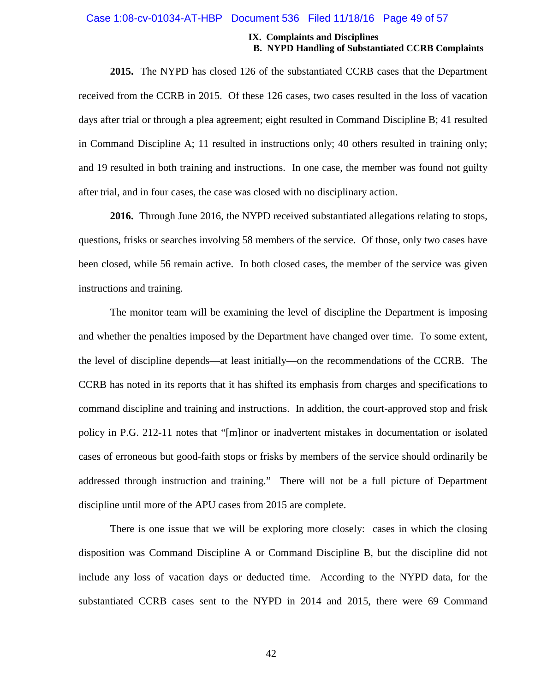#### Case 1:08-cv-01034-AT-HBP Document 536 Filed 11/18/16 Page 49 of 57

#### **IX. Complaints and Disciplines B. NYPD Handling of Substantiated CCRB Complaints**

**2015.** The NYPD has closed 126 of the substantiated CCRB cases that the Department received from the CCRB in 2015. Of these 126 cases, two cases resulted in the loss of vacation days after trial or through a plea agreement; eight resulted in Command Discipline B; 41 resulted in Command Discipline A; 11 resulted in instructions only; 40 others resulted in training only; and 19 resulted in both training and instructions. In one case, the member was found not guilty after trial, and in four cases, the case was closed with no disciplinary action.

**2016.** Through June 2016, the NYPD received substantiated allegations relating to stops, questions, frisks or searches involving 58 members of the service. Of those, only two cases have been closed, while 56 remain active. In both closed cases, the member of the service was given instructions and training.

The monitor team will be examining the level of discipline the Department is imposing and whether the penalties imposed by the Department have changed over time. To some extent, the level of discipline depends—at least initially—on the recommendations of the CCRB. The CCRB has noted in its reports that it has shifted its emphasis from charges and specifications to command discipline and training and instructions. In addition, the court-approved stop and frisk policy in P.G. 212-11 notes that "[m]inor or inadvertent mistakes in documentation or isolated cases of erroneous but good-faith stops or frisks by members of the service should ordinarily be addressed through instruction and training." There will not be a full picture of Department discipline until more of the APU cases from 2015 are complete.

There is one issue that we will be exploring more closely: cases in which the closing disposition was Command Discipline A or Command Discipline B, but the discipline did not include any loss of vacation days or deducted time. According to the NYPD data, for the substantiated CCRB cases sent to the NYPD in 2014 and 2015, there were 69 Command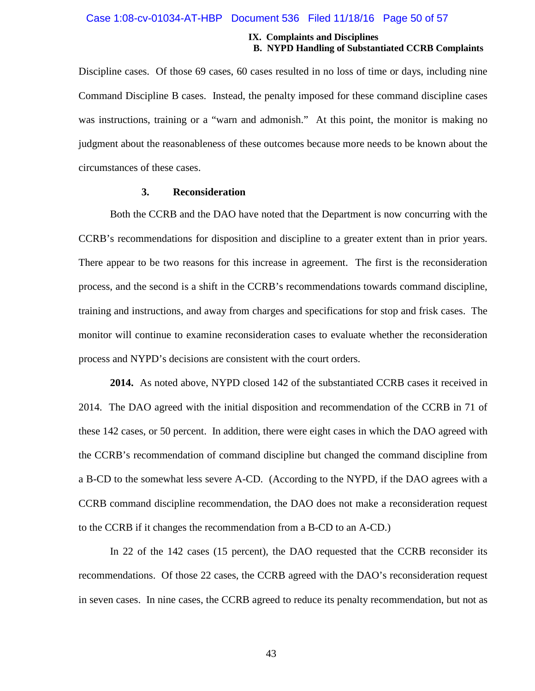#### Case 1:08-cv-01034-AT-HBP Document 536 Filed 11/18/16 Page 50 of 57

#### **IX. Complaints and Disciplines B. NYPD Handling of Substantiated CCRB Complaints**

Discipline cases. Of those 69 cases, 60 cases resulted in no loss of time or days, including nine Command Discipline B cases. Instead, the penalty imposed for these command discipline cases was instructions, training or a "warn and admonish." At this point, the monitor is making no judgment about the reasonableness of these outcomes because more needs to be known about the circumstances of these cases.

#### **3. Reconsideration**

Both the CCRB and the DAO have noted that the Department is now concurring with the CCRB's recommendations for disposition and discipline to a greater extent than in prior years. There appear to be two reasons for this increase in agreement. The first is the reconsideration process, and the second is a shift in the CCRB's recommendations towards command discipline, training and instructions, and away from charges and specifications for stop and frisk cases. The monitor will continue to examine reconsideration cases to evaluate whether the reconsideration process and NYPD's decisions are consistent with the court orders.

**2014.** As noted above, NYPD closed 142 of the substantiated CCRB cases it received in 2014. The DAO agreed with the initial disposition and recommendation of the CCRB in 71 of these 142 cases, or 50 percent. In addition, there were eight cases in which the DAO agreed with the CCRB's recommendation of command discipline but changed the command discipline from a B-CD to the somewhat less severe A-CD. (According to the NYPD, if the DAO agrees with a CCRB command discipline recommendation, the DAO does not make a reconsideration request to the CCRB if it changes the recommendation from a B-CD to an A-CD.)

In 22 of the 142 cases (15 percent), the DAO requested that the CCRB reconsider its recommendations. Of those 22 cases, the CCRB agreed with the DAO's reconsideration request in seven cases. In nine cases, the CCRB agreed to reduce its penalty recommendation, but not as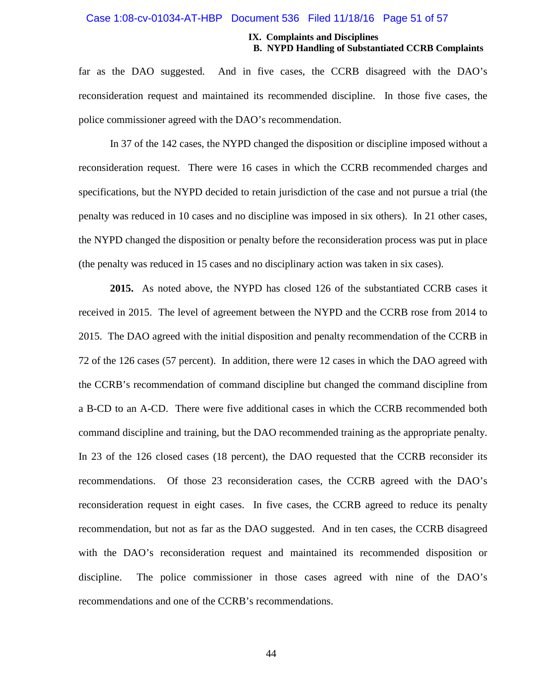#### Case 1:08-cv-01034-AT-HBP Document 536 Filed 11/18/16 Page 51 of 57

#### **IX. Complaints and Disciplines B. NYPD Handling of Substantiated CCRB Complaints**

far as the DAO suggested. And in five cases, the CCRB disagreed with the DAO's reconsideration request and maintained its recommended discipline. In those five cases, the police commissioner agreed with the DAO's recommendation.

In 37 of the 142 cases, the NYPD changed the disposition or discipline imposed without a reconsideration request. There were 16 cases in which the CCRB recommended charges and specifications, but the NYPD decided to retain jurisdiction of the case and not pursue a trial (the penalty was reduced in 10 cases and no discipline was imposed in six others). In 21 other cases, the NYPD changed the disposition or penalty before the reconsideration process was put in place (the penalty was reduced in 15 cases and no disciplinary action was taken in six cases).

**2015.** As noted above, the NYPD has closed 126 of the substantiated CCRB cases it received in 2015. The level of agreement between the NYPD and the CCRB rose from 2014 to 2015. The DAO agreed with the initial disposition and penalty recommendation of the CCRB in 72 of the 126 cases (57 percent). In addition, there were 12 cases in which the DAO agreed with the CCRB's recommendation of command discipline but changed the command discipline from a B-CD to an A-CD. There were five additional cases in which the CCRB recommended both command discipline and training, but the DAO recommended training as the appropriate penalty. In 23 of the 126 closed cases (18 percent), the DAO requested that the CCRB reconsider its recommendations. Of those 23 reconsideration cases, the CCRB agreed with the DAO's reconsideration request in eight cases. In five cases, the CCRB agreed to reduce its penalty recommendation, but not as far as the DAO suggested. And in ten cases, the CCRB disagreed with the DAO's reconsideration request and maintained its recommended disposition or discipline. The police commissioner in those cases agreed with nine of the DAO's recommendations and one of the CCRB's recommendations.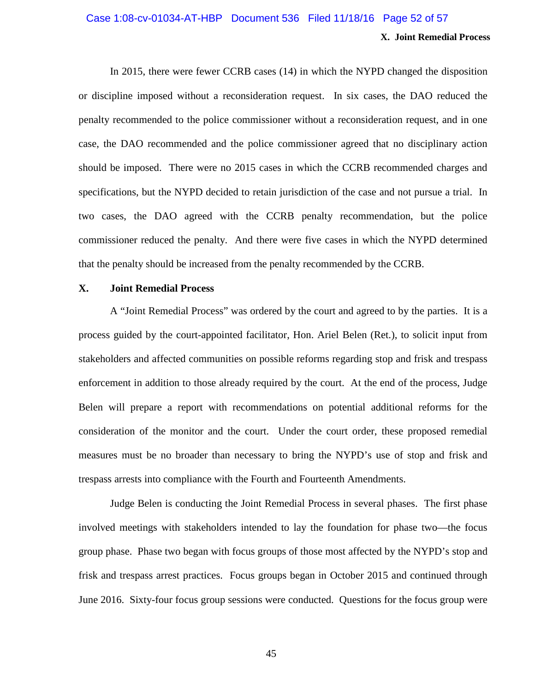### **X. Joint Remedial Process** Case 1:08-cv-01034-AT-HBP Document 536 Filed 11/18/16 Page 52 of 57

In 2015, there were fewer CCRB cases (14) in which the NYPD changed the disposition or discipline imposed without a reconsideration request. In six cases, the DAO reduced the penalty recommended to the police commissioner without a reconsideration request, and in one case, the DAO recommended and the police commissioner agreed that no disciplinary action should be imposed. There were no 2015 cases in which the CCRB recommended charges and specifications, but the NYPD decided to retain jurisdiction of the case and not pursue a trial. In two cases, the DAO agreed with the CCRB penalty recommendation, but the police commissioner reduced the penalty. And there were five cases in which the NYPD determined that the penalty should be increased from the penalty recommended by the CCRB.

#### **X. Joint Remedial Process**

A "Joint Remedial Process" was ordered by the court and agreed to by the parties. It is a process guided by the court-appointed facilitator, Hon. Ariel Belen (Ret.), to solicit input from stakeholders and affected communities on possible reforms regarding stop and frisk and trespass enforcement in addition to those already required by the court. At the end of the process, Judge Belen will prepare a report with recommendations on potential additional reforms for the consideration of the monitor and the court. Under the court order, these proposed remedial measures must be no broader than necessary to bring the NYPD's use of stop and frisk and trespass arrests into compliance with the Fourth and Fourteenth Amendments.

Judge Belen is conducting the Joint Remedial Process in several phases. The first phase involved meetings with stakeholders intended to lay the foundation for phase two—the focus group phase. Phase two began with focus groups of those most affected by the NYPD's stop and frisk and trespass arrest practices. Focus groups began in October 2015 and continued through June 2016. Sixty-four focus group sessions were conducted. Questions for the focus group were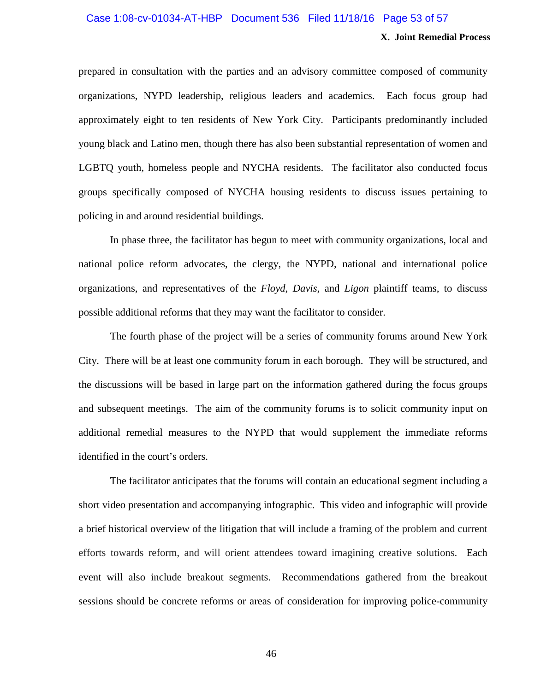### Case 1:08-cv-01034-AT-HBP Document 536 Filed 11/18/16 Page 53 of 57

#### **X. Joint Remedial Process**

prepared in consultation with the parties and an advisory committee composed of community organizations, NYPD leadership, religious leaders and academics. Each focus group had approximately eight to ten residents of New York City. Participants predominantly included young black and Latino men, though there has also been substantial representation of women and LGBTQ youth, homeless people and NYCHA residents. The facilitator also conducted focus groups specifically composed of NYCHA housing residents to discuss issues pertaining to policing in and around residential buildings.

In phase three, the facilitator has begun to meet with community organizations, local and national police reform advocates, the clergy, the NYPD, national and international police organizations, and representatives of the *Floyd*, *Davis*, and *Ligon* plaintiff teams, to discuss possible additional reforms that they may want the facilitator to consider.

The fourth phase of the project will be a series of community forums around New York City. There will be at least one community forum in each borough. They will be structured, and the discussions will be based in large part on the information gathered during the focus groups and subsequent meetings. The aim of the community forums is to solicit community input on additional remedial measures to the NYPD that would supplement the immediate reforms identified in the court's orders.

The facilitator anticipates that the forums will contain an educational segment including a short video presentation and accompanying infographic. This video and infographic will provide a brief historical overview of the litigation that will include a framing of the problem and current efforts towards reform, and will orient attendees toward imagining creative solutions. Each event will also include breakout segments. Recommendations gathered from the breakout sessions should be concrete reforms or areas of consideration for improving police-community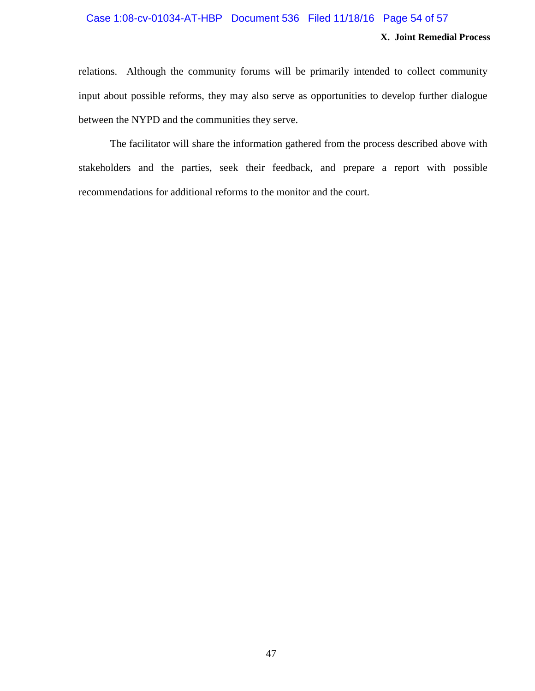### Case 1:08-cv-01034-AT-HBP Document 536 Filed 11/18/16 Page 54 of 57

#### **X. Joint Remedial Process**

relations. Although the community forums will be primarily intended to collect community input about possible reforms, they may also serve as opportunities to develop further dialogue between the NYPD and the communities they serve.

The facilitator will share the information gathered from the process described above with stakeholders and the parties, seek their feedback, and prepare a report with possible recommendations for additional reforms to the monitor and the court.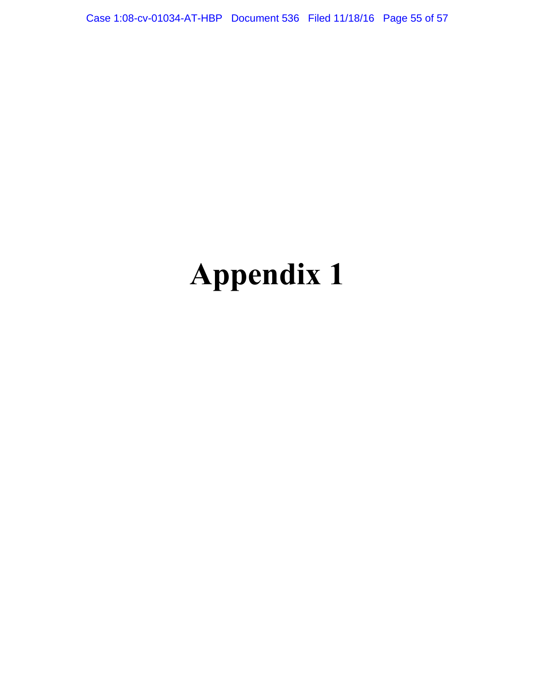Case 1:08-cv-01034-AT-HBP Document 536 Filed 11/18/16 Page 55 of 57

# **Appendix 1**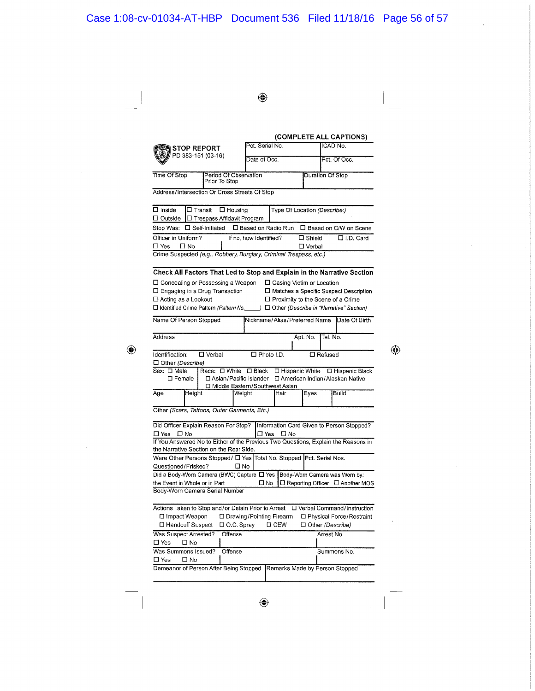◈

(COMPLETE ALL CAPTIONS) Pct. Serial No CAD No. **STOP REPORT**  $PD$  383-151 (03-16) Date of Occ. Pct. Of Occ. Time Of Stop Duration Of Stop eriod Of Observation Prior To Stop Address/Intersection Or Cross Streets Of Stop  $\Box$  Inside **C Transit C** Housing Type Of Location (Describe:)  $\Box$  Outside  $\Box$  Trespass Affidavit Program Stop Was: □ Self-Initiated □ Based on Radio Run □ Based on C/W on Scene Officer in Uniform? If no, how Identified?  $\square$  Shield  $\overline{\Box$  I.D. Card  $\square$  Yes  $\Box$  No  $\square$  Verbal Crime Suspected (e.g., Robbery, Burglary, Criminal Trespass, etc.) Check All Factors That Led to Stop and Explain in the Narrative Section □ Concealing or Possessing a Weapon □ Casing Victim or Location  $\square$  Engaging in a Drug Transaction □ Matches a Specific Suspect Description □ Acting as a Lookout □ Proximity to the Scene of a Crime □ Identified Crime Pattern (Pattern No. J □ Other (Describe in "Narrative" Section) Name Of Person Stopped Nickname/Alias/Preferred Name Date Of Birth Address Apt. No. lel. No. Identification:  $\Box$  Verbal  $\square$  Photo I.D.  $\Box$  Refused  $\Box$  Other (Describe) Sex: O Male Race: O White O Black O Hispanic White O Hispanic Black  $\square$  Female □ Asian/Pacific Islander □ American Indian/Alaskan Native □ Middle Eastern/Southwest Asian Age **Build** Height Weight Hair Eyes Other (Scars, Tattoos, Outer Garments, Etc.) Did Officer Explain Reason For Stop? Information Card Given to Person Stopped? □ Yes □ No □ Yes □ No If You Answered No to Either of the Previous Two Questions, Explain the Reasons in the Narrative Section on the Rear Side. Were Other Persons Stopped/  $\Box$  Yes Total No. Stopped Pct. Serial Nos. Questioned/Frisked?  $\square$  No Did a Body-Worn Camera (BWC) Capture  $\Box$  Yes | Body-Worn Camera was Worn by: □ No □ Reporting Officer □ Another MOS the Event in Whole or in Part Body-Worn Camera Serial Number Actions Taken to Stop and/or Detain Prior to Arrest  $\Box$  Verbal Command/Instruction □ Impact Weapon □ Drawing/Pointing Firearm □ Physical Force/Restraint □ Handcuff Suspect □ O.C. Spray  $\square$  CEW □ Other (Describe) Was Suspect Arrested? Offense Arrest No.  $\square$  Yes  $\Box$  No Was Summons Issued? Offense Summons No.  $\square$  Yes  $\square$  No Demeanor of Person After Being Stopped Remarks Made by Person Stopped

⊕

⊕